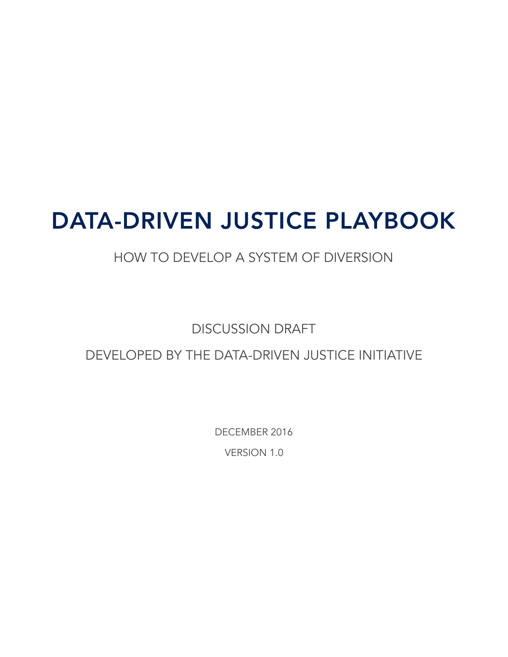# DATA-DRIVEN JUSTICE PLAYBOOK

# HOW TO DEVELOP A SYSTEM OF DIVERSION

# DISCUSSION DRAFT

# DEVELOPED BY THE DATA-DRIVEN JUSTICE INITIATIVE

DECEMBER 2016

VERSION 1.0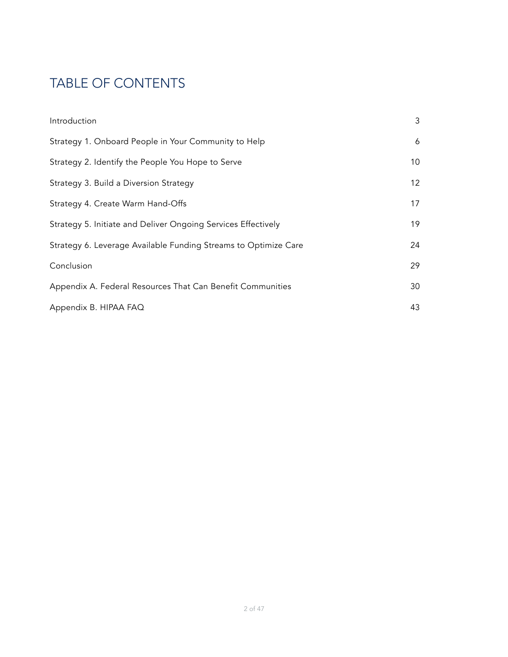# TABLE OF CONTENTS

| Introduction                                                    | 3               |
|-----------------------------------------------------------------|-----------------|
| Strategy 1. Onboard People in Your Community to Help            | 6               |
| Strategy 2. Identify the People You Hope to Serve               | 10              |
| Strategy 3. Build a Diversion Strategy                          | 12 <sup>°</sup> |
| Strategy 4. Create Warm Hand-Offs                               | 17              |
| Strategy 5. Initiate and Deliver Ongoing Services Effectively   | 19              |
| Strategy 6. Leverage Available Funding Streams to Optimize Care | 24              |
| Conclusion                                                      | 29              |
| Appendix A. Federal Resources That Can Benefit Communities      | 30              |
| Appendix B. HIPAA FAQ                                           | 43              |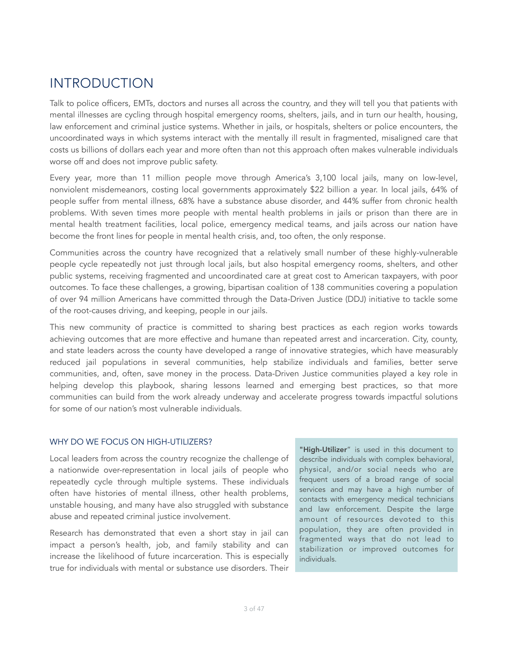# <span id="page-2-0"></span>INTRODUCTION

Talk to police officers, EMTs, doctors and nurses all across the country, and they will tell you that patients with mental illnesses are cycling through hospital emergency rooms, shelters, jails, and in turn our health, housing, law enforcement and criminal justice systems. Whether in jails, or hospitals, shelters or police encounters, the uncoordinated ways in which systems interact with the mentally ill result in fragmented, misaligned care that costs us billions of dollars each year and more often than not this approach often makes vulnerable individuals worse off and does not improve public safety.

Every year, more than 11 million people move through America's 3,100 local jails, many on low-level, nonviolent misdemeanors, costing local governments approximately \$22 billion a year. In local jails, 64% of people suffer from mental illness, 68% have a substance abuse disorder, and 44% suffer from chronic health problems. With seven times more people with mental health problems in jails or prison than there are in mental health treatment facilities, local police, emergency medical teams, and jails across our nation have become the front lines for people in mental health crisis, and, too often, the only response.

Communities across the country have recognized that a relatively small number of these highly-vulnerable people cycle repeatedly not just through local jails, but also hospital emergency rooms, shelters, and other public systems, receiving fragmented and uncoordinated care at great cost to American taxpayers, with poor outcomes. To face these challenges, a growing, bipartisan coalition of 138 communities covering a population of over 94 million Americans have committed through the Data-Driven Justice (DDJ) initiative to tackle some of the root-causes driving, and keeping, people in our jails.

This new community of practice is committed to sharing best practices as each region works towards achieving outcomes that are more effective and humane than repeated arrest and incarceration. City, county, and state leaders across the county have developed a range of innovative strategies, which have measurably reduced jail populations in several communities, help stabilize individuals and families, better serve communities, and, often, save money in the process. Data-Driven Justice communities played a key role in helping develop this playbook, sharing lessons learned and emerging best practices, so that more communities can build from the work already underway and accelerate progress towards impactful solutions for some of our nation's most vulnerable individuals.

#### WHY DO WE FOCUS ON HIGH-UTILIZERS?

Local leaders from across the country recognize the challenge of a nationwide over-representation in local jails of people who repeatedly cycle through multiple systems. These individuals often have histories of mental illness, other health problems, unstable housing, and many have also struggled with substance abuse and repeated criminal justice involvement.

Research has demonstrated that even a short stay in jail can impact a person's health, job, and family stability and can increase the likelihood of future incarceration. This is especially true for individuals with mental or substance use disorders. Their

"High-Utilizer" is used in this document to describe individuals with complex behavioral, physical, and/or social needs who are frequent users of a broad range of social services and may have a high number of contacts with emergency medical technicians and law enforcement. Despite the large amount of resources devoted to this population, they are often provided in fragmented ways that do not lead to stabilization or improved outcomes for individuals.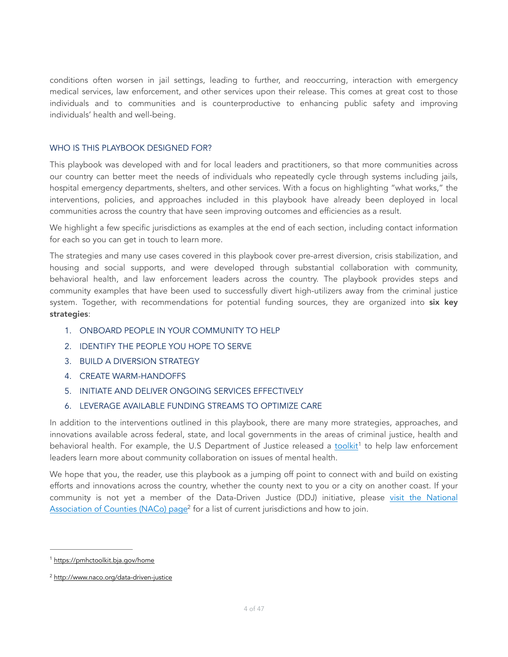conditions often worsen in jail settings, leading to further, and reoccurring, interaction with emergency medical services, law enforcement, and other services upon their release. This comes at great cost to those individuals and to communities and is counterproductive to enhancing public safety and improving individuals' health and well-being.

#### WHO IS THIS PLAYBOOK DESIGNED FOR?

This playbook was developed with and for local leaders and practitioners, so that more communities across our country can better meet the needs of individuals who repeatedly cycle through systems including jails, hospital emergency departments, shelters, and other services. With a focus on highlighting "what works," the interventions, policies, and approaches included in this playbook have already been deployed in local communities across the country that have seen improving outcomes and efficiencies as a result.

We highlight a few specific jurisdictions as examples at the end of each section, including contact information for each so you can get in touch to learn more.

The strategies and many use cases covered in this playbook cover pre-arrest diversion, crisis stabilization, and housing and social supports, and were developed through substantial collaboration with community, behavioral health, and law enforcement leaders across the country. The playbook provides steps and community examples that have been used to successfully divert high-utilizers away from the criminal justice system. Together, with recommendations for potential funding sources, they are organized into six key strategies:

- 1. ONBOARD PEOPLE IN YOUR COMMUNITY TO HELP
- 2. IDENTIFY THE PEOPLE YOU HOPE TO SERVE
- 3. BUILD A DIVERSION STRATEGY
- 4. CREATE WARM-HANDOFFS
- 5. INITIATE AND DELIVER ONGOING SERVICES EFFECTIVELY
- <span id="page-3-2"></span>6. LEVERAGE AVAILABLE FUNDING STREAMS TO OPTIMIZE CARE

In addition to the interventions outlined in this playbook, there are many more strategies, approaches, and innovations available across federal, state, and local governments in the areas of criminal justice, health and behavioral health. For example, the U.S Department of Justice released a [toolkit](https://pmhctoolkit.bja.gov/home)<sup>[1](#page-3-0)</sup> to help law enforcement leaders learn more about community collaboration on issues of mental health.

<span id="page-3-3"></span>We hope that you, the reader, use this playbook as a jumping off point to connect with and build on existing efforts and innovations across the country, whether the county next to you or a city on another coast. If your community is not yet a member of the Data-Driven Justice (DDJ) initiative, please [visit the National](http://www.naco.org/data-driven-justice) [Association of Counties \(NACo\) page](http://www.naco.org/data-driven-justice)<sup>[2](#page-3-1)</sup> for a list of current jurisdictions and how to join.

<span id="page-3-0"></span><sup>&</sup>lt;sup>1</sup> <https://pmhctoolkit.bja.gov/home>

<span id="page-3-1"></span><http://www.naco.org/data-driven-justice> [2](#page-3-3)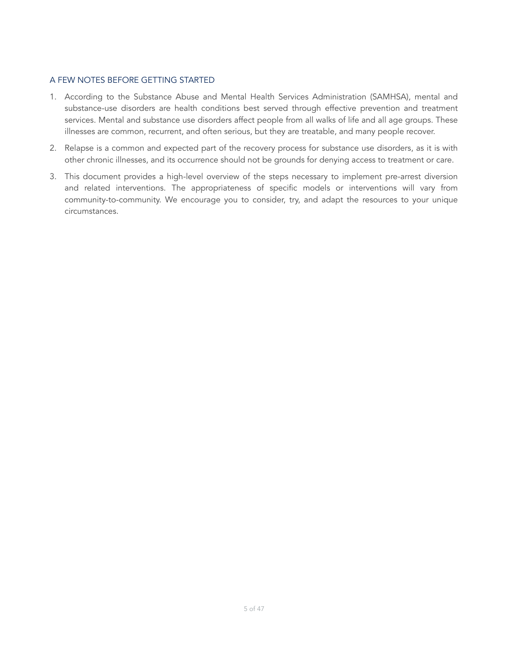#### A FEW NOTES BEFORE GETTING STARTED

- 1. According to the Substance Abuse and Mental Health Services Administration (SAMHSA), mental and substance-use disorders are health conditions best served through effective prevention and treatment services. Mental and substance use disorders affect people from all walks of life and all age groups. These illnesses are common, recurrent, and often serious, but they are treatable, and many people recover.
- 2. Relapse is a common and expected part of the recovery process for substance use disorders, as it is with other chronic illnesses, and its occurrence should not be grounds for denying access to treatment or care.
- 3. This document provides a high-level overview of the steps necessary to implement pre-arrest diversion and related interventions. The appropriateness of specific models or interventions will vary from community-to-community. We encourage you to consider, try, and adapt the resources to your unique circumstances.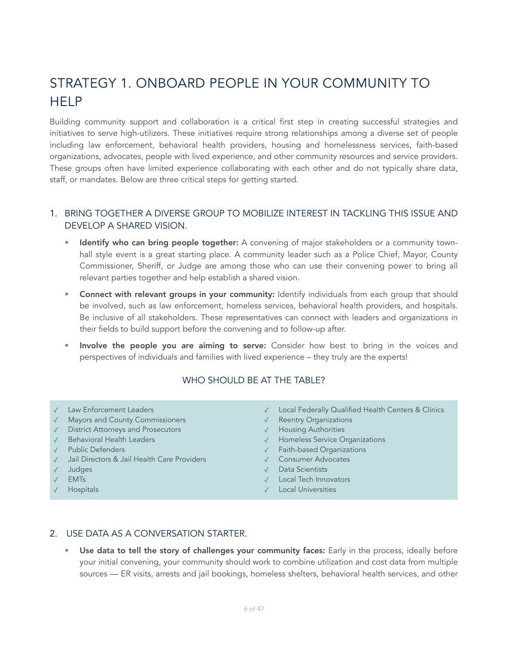# <span id="page-5-0"></span>STRATEGY 1. ONBOARD PEOPLE IN YOUR COMMUNITY TO HELP

Building community support and collaboration is a critical first step in creating successful strategies and initiatives to serve high-utilizers. These initiatives require strong relationships among a diverse set of people including law enforcement, behavioral health providers, housing and homelessness services, faith-based organizations, advocates, people with lived experience, and other community resources and service providers. These groups often have limited experience collaborating with each other and do not typically share data, staff, or mandates. Below are three critical steps for getting started.

# 1. BRING TOGETHER A DIVERSE GROUP TO MOBILIZE INTEREST IN TACKLING THIS ISSUE AND DEVELOP A SHARED VISION.

- **Identify who can bring people together:** A convening of major stakeholders or a community townhall style event is a great starting place. A community leader such as a Police Chief, Mayor, County Commissioner, Sheriff, or Judge are among those who can use their convening power to bring all relevant parties together and help establish a shared vision.
- Connect with relevant groups in your community: Identify individuals from each group that should be involved, such as law enforcement, homeless services, behavioral health providers, and hospitals. Be inclusive of all stakeholders. These representatives can connect with leaders and organizations in their fields to build support before the convening and to follow-up after.
- Involve the people you are aiming to serve: Consider how best to bring in the voices and perspectives of individuals and families with lived experience – they truly are the experts!

#### WHO SHOULD BE AT THE TABLE?

- Law Enforcement Leaders
- ✓ Mayors and County Commissioners
- ✓ District Attorneys and Prosecutors
- ✓ Behavioral Health Leaders
- ✓ Public Defenders
- Jail Directors & Jail Health Care Providers
- ✓ Judges
- ✓ EMTs
- **Hospitals**
- ✓ Local Federally Qualified Health Centers & Clinics
- ✓ Reentry Organizations
- ✓ Housing Authorities
- ✓ Homeless Service Organizations
- ✓ Faith-based Organizations
- ✓ Consumer Advocates
- ✓ Data Scientists
- ✓ Local Tech Innovators
- ✓ Local Universities

#### 2. USE DATA AS A CONVERSATION STARTER.

Use data to tell the story of challenges your community faces: Early in the process, ideally before your initial convening, your community should work to combine utilization and cost data from multiple sources — ER visits, arrests and jail bookings, homeless shelters, behavioral health services, and other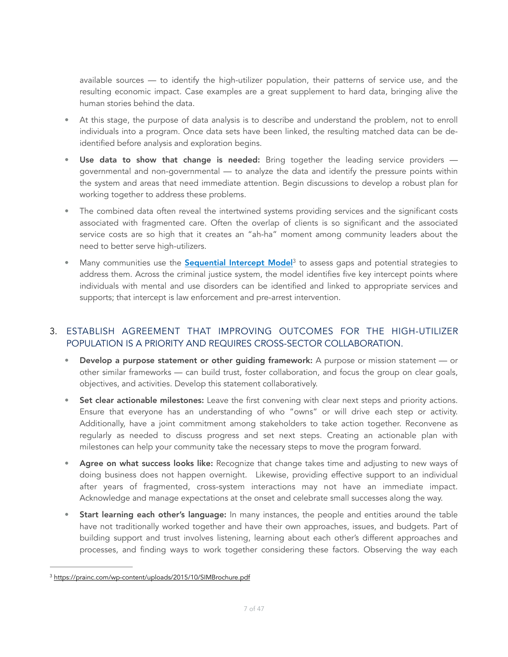available sources — to identify the high-utilizer population, their patterns of service use, and the resulting economic impact. Case examples are a great supplement to hard data, bringing alive the human stories behind the data.

- At this stage, the purpose of data analysis is to describe and understand the problem, not to enroll individuals into a program. Once data sets have been linked, the resulting matched data can be deidentified before analysis and exploration begins.
- Use data to show that change is needed: Bring together the leading service providers governmental and non-governmental — to analyze the data and identify the pressure points within the system and areas that need immediate attention. Begin discussions to develop a robust plan for working together to address these problems.
- The combined data often reveal the intertwined systems providing services and the significant costs associated with fragmented care. Often the overlap of clients is so significant and the associated service costs are so high that it creates an "ah-ha" moment among community leaders about the need to better serve high-utilizers.
- <span id="page-6-1"></span>Manycommunities use the **Sequential Intercept Mode**<sup>[3](#page-6-0)</sup> to assess gaps and potential strategies to address them. Across the criminal justice system, the model identifies five key intercept points where individuals with mental and use disorders can be identified and linked to appropriate services and supports; that intercept is law enforcement and pre-arrest intervention.

# 3. ESTABLISH AGREEMENT THAT IMPROVING OUTCOMES FOR THE HIGH-UTILIZER POPULATION IS A PRIORITY AND REQUIRES CROSS-SECTOR COLLABORATION.

- Develop a purpose statement or other guiding framework: A purpose or mission statement or other similar frameworks — can build trust, foster collaboration, and focus the group on clear goals, objectives, and activities. Develop this statement collaboratively.
- Set clear actionable milestones: Leave the first convening with clear next steps and priority actions. Ensure that everyone has an understanding of who "owns" or will drive each step or activity. Additionally, have a joint commitment among stakeholders to take action together. Reconvene as regularly as needed to discuss progress and set next steps. Creating an actionable plan with milestones can help your community take the necessary steps to move the program forward.
- Agree on what success looks like: Recognize that change takes time and adjusting to new ways of doing business does not happen overnight. Likewise, providing effective support to an individual after years of fragmented, cross-system interactions may not have an immediate impact. Acknowledge and manage expectations at the onset and celebrate small successes along the way.
- Start learning each other's language: In many instances, the people and entities around the table have not traditionally worked together and have their own approaches, issues, and budgets. Part of building support and trust involves listening, learning about each other's different approaches and processes, and finding ways to work together considering these factors. Observing the way each

<span id="page-6-0"></span><sup>&</sup>lt;sup>3</sup> <https://prainc.com/wp-content/uploads/2015/10/SIMBrochure.pdf>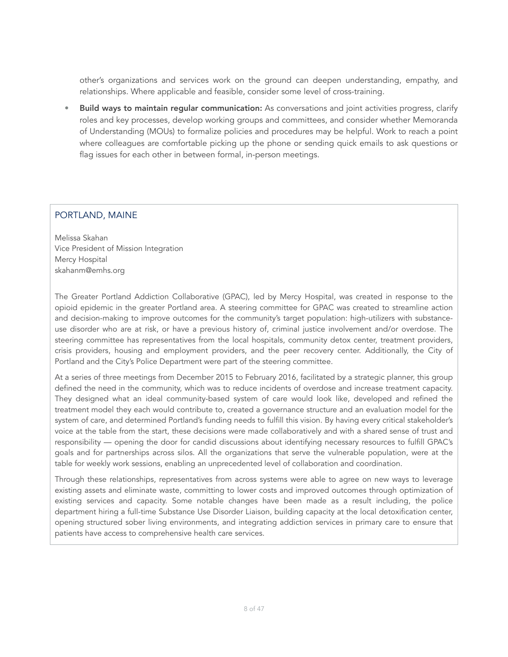other's organizations and services work on the ground can deepen understanding, empathy, and relationships. Where applicable and feasible, consider some level of cross-training.

Build ways to maintain regular communication: As conversations and joint activities progress, clarify roles and key processes, develop working groups and committees, and consider whether Memoranda of Understanding (MOUs) to formalize policies and procedures may be helpful. Work to reach a point where colleagues are comfortable picking up the phone or sending quick emails to ask questions or flag issues for each other in between formal, in-person meetings.

# PORTLAND, MAINE

Melissa Skahan Vice President of Mission Integration Mercy Hospital [skahanm@emhs.org](mailto:skahanm@emhs.org)

The Greater Portland Addiction Collaborative (GPAC), led by Mercy Hospital, was created in response to the opioid epidemic in the greater Portland area. A steering committee for GPAC was created to streamline action and decision-making to improve outcomes for the community's target population: high-utilizers with substanceuse disorder who are at risk, or have a previous history of, criminal justice involvement and/or overdose. The steering committee has representatives from the local hospitals, community detox center, treatment providers, crisis providers, housing and employment providers, and the peer recovery center. Additionally, the City of Portland and the City's Police Department were part of the steering committee.

At a series of three meetings from December 2015 to February 2016, facilitated by a strategic planner, this group defined the need in the community, which was to reduce incidents of overdose and increase treatment capacity. They designed what an ideal community-based system of care would look like, developed and refined the treatment model they each would contribute to, created a governance structure and an evaluation model for the system of care, and determined Portland's funding needs to fulfill this vision. By having every critical stakeholder's voice at the table from the start, these decisions were made collaboratively and with a shared sense of trust and responsibility — opening the door for candid discussions about identifying necessary resources to fulfill GPAC's goals and for partnerships across silos. All the organizations that serve the vulnerable population, were at the table for weekly work sessions, enabling an unprecedented level of collaboration and coordination.

Through these relationships, representatives from across systems were able to agree on new ways to leverage existing assets and eliminate waste, committing to lower costs and improved outcomes through optimization of existing services and capacity. Some notable changes have been made as a result including, the police department hiring a full-time Substance Use Disorder Liaison, building capacity at the local detoxification center, opening structured sober living environments, and integrating addiction services in primary care to ensure that patients have access to comprehensive health care services.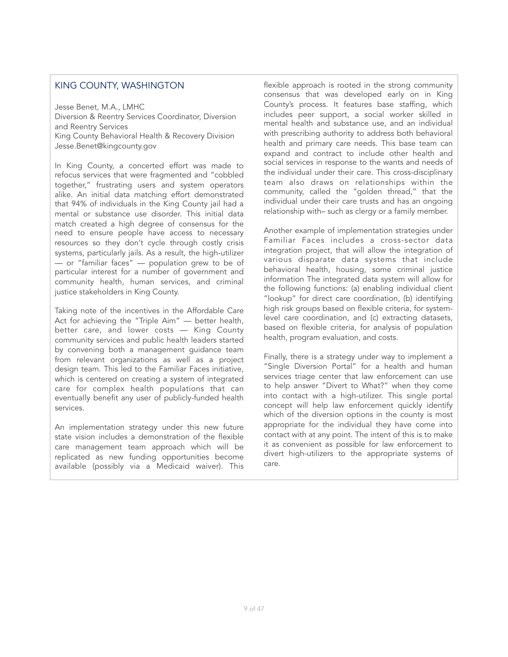#### KING COUNTY, WASHINGTON

Jesse Benet, M.A., LMHC Diversion & Reentry Services Coordinator, Diversion and Reentry Services King County Behavioral Health & Recovery Division Jesse.Benet@kingcounty.gov

In King County, a concerted effort was made to refocus services that were fragmented and "cobbled together," frustrating users and system operators alike. An initial data matching effort demonstrated that 94% of individuals in the King County jail had a mental or substance use disorder. This initial data match created a high degree of consensus for the need to ensure people have access to necessary resources so they don't cycle through costly crisis systems, particularly jails. As a result, the high-utilizer — or "familiar faces" — population grew to be of particular interest for a number of government and community health, human services, and criminal justice stakeholders in King County.

Taking note of the incentives in the Affordable Care Act for achieving the "Triple Aim" — better health, better care, and lower costs — King County community services and public health leaders started by convening both a management guidance team from relevant organizations as well as a project design team. This led to the Familiar Faces initiative, which is centered on creating a system of integrated care for complex health populations that can eventually benefit any user of publicly-funded health services.

An implementation strategy under this new future state vision includes a demonstration of the flexible care management team approach which will be replicated as new funding opportunities become available (possibly via a Medicaid waiver). This flexible approach is rooted in the strong community consensus that was developed early on in King County's process. It features base staffing, which includes peer support, a social worker skilled in mental health and substance use, and an individual with prescribing authority to address both behavioral health and primary care needs. This base team can expand and contract to include other health and social services in response to the wants and needs of the individual under their care. This cross-disciplinary team also draws on relationships within the community, called the "golden thread," that the individual under their care trusts and has an ongoing relationship with– such as clergy or a family member.

Another example of implementation strategies under Familiar Faces includes a cross-sector data integration project, that will allow the integration of various disparate data systems that include behavioral health, housing, some criminal justice information The integrated data system will allow for the following functions: (a) enabling individual client "lookup" for direct care coordination, (b) identifying high risk groups based on flexible criteria, for systemlevel care coordination, and (c) extracting datasets, based on flexible criteria, for analysis of population health, program evaluation, and costs.

Finally, there is a strategy under way to implement a "Single Diversion Portal" for a health and human services triage center that law enforcement can use to help answer "Divert to What?" when they come into contact with a high-utilizer. This single portal concept will help law enforcement quickly identify which of the diversion options in the county is most appropriate for the individual they have come into contact with at any point. The intent of this is to make it as convenient as possible for law enforcement to divert high-utilizers to the appropriate systems of care.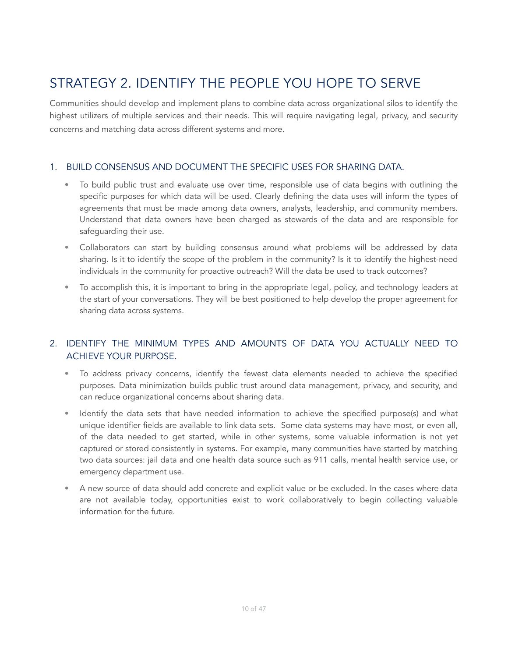# <span id="page-9-0"></span>STRATEGY 2. IDENTIFY THE PEOPLE YOU HOPE TO SERVE

Communities should develop and implement plans to combine data across organizational silos to identify the highest utilizers of multiple services and their needs. This will require navigating legal, privacy, and security concerns and matching data across different systems and more.

# 1. BUILD CONSENSUS AND DOCUMENT THE SPECIFIC USES FOR SHARING DATA.

- To build public trust and evaluate use over time, responsible use of data begins with outlining the specific purposes for which data will be used. Clearly defining the data uses will inform the types of agreements that must be made among data owners, analysts, leadership, and community members. Understand that data owners have been charged as stewards of the data and are responsible for safeguarding their use.
- Collaborators can start by building consensus around what problems will be addressed by data sharing. Is it to identify the scope of the problem in the community? Is it to identify the highest-need individuals in the community for proactive outreach? Will the data be used to track outcomes?
- To accomplish this, it is important to bring in the appropriate legal, policy, and technology leaders at the start of your conversations. They will be best positioned to help develop the proper agreement for sharing data across systems.

# 2. IDENTIFY THE MINIMUM TYPES AND AMOUNTS OF DATA YOU ACTUALLY NEED TO ACHIEVE YOUR PURPOSE.

- To address privacy concerns, identify the fewest data elements needed to achieve the specified purposes. Data minimization builds public trust around data management, privacy, and security, and can reduce organizational concerns about sharing data.
- Identify the data sets that have needed information to achieve the specified purpose(s) and what unique identifier fields are available to link data sets. Some data systems may have most, or even all, of the data needed to get started, while in other systems, some valuable information is not yet captured or stored consistently in systems. For example, many communities have started by matching two data sources: jail data and one health data source such as 911 calls, mental health service use, or emergency department use.
- A new source of data should add concrete and explicit value or be excluded. In the cases where data are not available today, opportunities exist to work collaboratively to begin collecting valuable information for the future.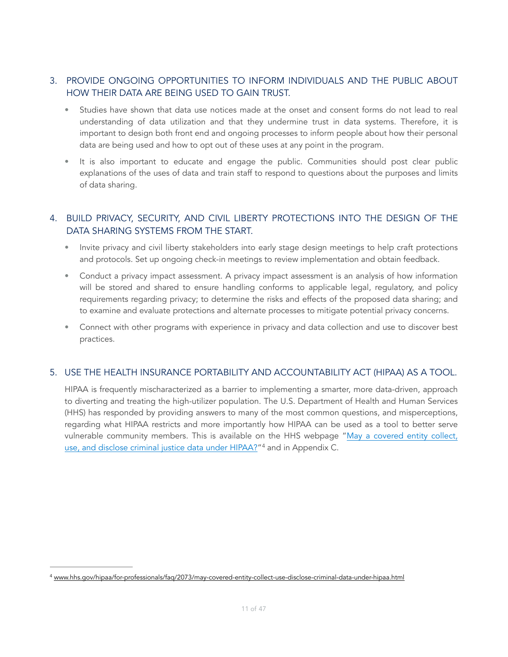# 3. PROVIDE ONGOING OPPORTUNITIES TO INFORM INDIVIDUALS AND THE PUBLIC ABOUT HOW THEIR DATA ARE BEING USED TO GAIN TRUST.

- Studies have shown that data use notices made at the onset and consent forms do not lead to real understanding of data utilization and that they undermine trust in data systems. Therefore, it is important to design both front end and ongoing processes to inform people about how their personal data are being used and how to opt out of these uses at any point in the program.
- It is also important to educate and engage the public. Communities should post clear public explanations of the uses of data and train staff to respond to questions about the purposes and limits of data sharing.

# 4. BUILD PRIVACY, SECURITY, AND CIVIL LIBERTY PROTECTIONS INTO THE DESIGN OF THE DATA SHARING SYSTEMS FROM THE START.

- Invite privacy and civil liberty stakeholders into early stage design meetings to help craft protections and protocols. Set up ongoing check-in meetings to review implementation and obtain feedback.
- Conduct a privacy impact assessment. A privacy impact assessment is an analysis of how information will be stored and shared to ensure handling conforms to applicable legal, regulatory, and policy requirements regarding privacy; to determine the risks and effects of the proposed data sharing; and to examine and evaluate protections and alternate processes to mitigate potential privacy concerns.
- Connect with other programs with experience in privacy and data collection and use to discover best practices.

### 5. USE THE HEALTH INSURANCE PORTABILITY AND ACCOUNTABILITY ACT (HIPAA) AS A TOOL.

<span id="page-10-1"></span>HIPAA is frequently mischaracterized as a barrier to implementing a smarter, more data-driven, approach to diverting and treating the high-utilizer population. The U.S. Department of Health and Human Services (HHS) has responded by providing answers to many of the most common questions, and misperceptions, regarding what HIPAA restricts and more importantly how HIPAA can be used as a tool to better serve vulnerable community members. This is available on the HHS webpage "[May a covered entity collect,](http://www.hhs.gov/hipaa/for-professionals/faq/2073/may-covered-entity-collect-use-disclose-criminal-data-under-hipaa.html)  [use, and disclose criminal justice data under HIPAA?](http://www.hhs.gov/hipaa/for-professionals/faq/2073/may-covered-entity-collect-use-disclose-criminal-data-under-hipaa.html)"<sup>[4](#page-10-0)</sup> and in Appendix C.

<span id="page-10-0"></span><sup>4</sup> [www.hhs.gov/hipaa/for-professionals/faq/2073/may-covered-entity-collect-use-disclose-criminal-data-under-hipaa.html](http://www.hhs.gov/hipaa/for-professionals/faq/2073/may-covered-entity-collect-use-disclose-criminal-data-under-hipaa.html)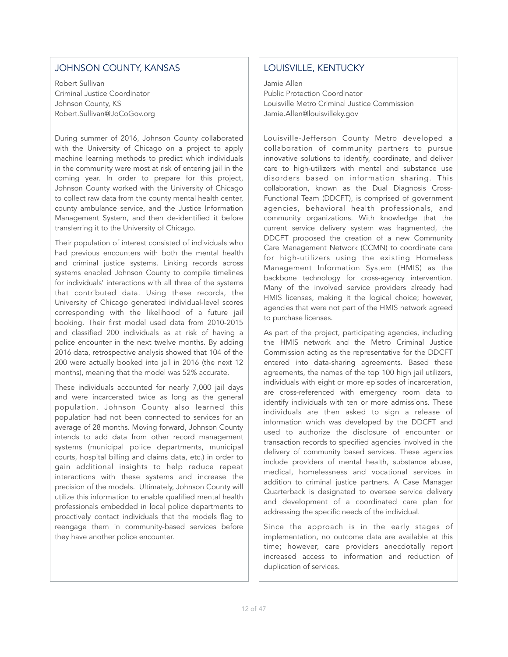# JOHNSON COUNTY, KANSAS

Robert Sullivan Criminal Justice Coordinator Johnson County, KS [Robert.Sullivan@JoCoGov.org](mailto:Robert.Sullivan@JoCoGov.org) 

During summer of 2016, Johnson County collaborated with the University of Chicago on a project to apply machine learning methods to predict which individuals in the community were most at risk of entering jail in the coming year. In order to prepare for this project, Johnson County worked with the University of Chicago to collect raw data from the county mental health center, county ambulance service, and the Justice Information Management System, and then de-identified it before transferring it to the University of Chicago.

Their population of interest consisted of individuals who had previous encounters with both the mental health and criminal justice systems. Linking records across systems enabled Johnson County to compile timelines for individuals' interactions with all three of the systems that contributed data. Using these records, the University of Chicago generated individual-level scores corresponding with the likelihood of a future jail booking. Their first model used data from 2010-2015 and classified 200 individuals as at risk of having a police encounter in the next twelve months. By adding 2016 data, retrospective analysis showed that 104 of the 200 were actually booked into jail in 2016 (the next 12 months), meaning that the model was 52% accurate.

These individuals accounted for nearly 7,000 jail days and were incarcerated twice as long as the general population. Johnson County also learned this population had not been connected to services for an average of 28 months. Moving forward, Johnson County intends to add data from other record management systems (municipal police departments, municipal courts, hospital billing and claims data, etc.) in order to gain additional insights to help reduce repeat interactions with these systems and increase the precision of the models. Ultimately, Johnson County will utilize this information to enable qualified mental health professionals embedded in local police departments to proactively contact individuals that the models flag to reengage them in community-based services before they have another police encounter.

# LOUISVILLE, KENTUCKY

Jamie Allen Public Protection Coordinator Louisville Metro Criminal Justice Commission [Jamie.Allen@louisvilleky.gov](mailto:Jamie.Allen@louisvilleky.gov)

Louisville-Jefferson County Metro developed a collaboration of community partners to pursue innovative solutions to identify, coordinate, and deliver care to high-utilizers with mental and substance use disorders based on information sharing. This collaboration, known as the Dual Diagnosis Cross-Functional Team (DDCFT), is comprised of government agencies, behavioral health professionals, and community organizations. With knowledge that the current service delivery system was fragmented, the DDCFT proposed the creation of a new Community Care Management Network (CCMN) to coordinate care for high-utilizers using the existing Homeless Management Information System (HMIS) as the backbone technology for cross-agency intervention. Many of the involved service providers already had HMIS licenses, making it the logical choice; however, agencies that were not part of the HMIS network agreed to purchase licenses.

As part of the project, participating agencies, including the HMIS network and the Metro Criminal Justice Commission acting as the representative for the DDCFT entered into data-sharing agreements. Based these agreements, the names of the top 100 high jail utilizers, individuals with eight or more episodes of incarceration, are cross-referenced with emergency room data to identify individuals with ten or more admissions. These individuals are then asked to sign a release of information which was developed by the DDCFT and used to authorize the disclosure of encounter or transaction records to specified agencies involved in the delivery of community based services. These agencies include providers of mental health, substance abuse, medical, homelessness and vocational services in addition to criminal justice partners. A Case Manager Quarterback is designated to oversee service delivery and development of a coordinated care plan for addressing the specific needs of the individual.

Since the approach is in the early stages of implementation, no outcome data are available at this time; however, care providers anecdotally report increased access to information and reduction of duplication of services.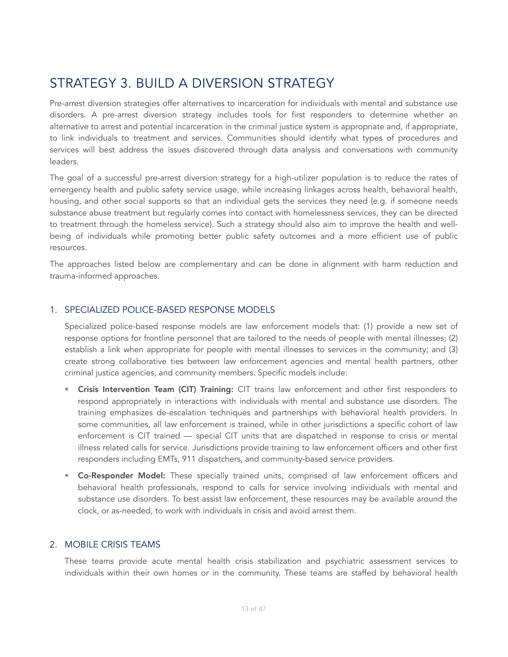# <span id="page-12-0"></span>STRATEGY 3. BUILD A DIVERSION STRATEGY

Pre-arrest diversion strategies offer alternatives to incarceration for individuals with mental and substance use disorders. A pre-arrest diversion strategy includes tools for first responders to determine whether an alternative to arrest and potential incarceration in the criminal justice system is appropriate and, if appropriate, to link individuals to treatment and services. Communities should identify what types of procedures and services will best address the issues discovered through data analysis and conversations with community leaders.

The goal of a successful pre-arrest diversion strategy for a high-utilizer population is to reduce the rates of emergency health and public safety service usage, while increasing linkages across health, behavioral health, housing, and other social supports so that an individual gets the services they need (e.g. if someone needs substance abuse treatment but regularly comes into contact with homelessness services, they can be directed to treatment through the homeless service). Such a strategy should also aim to improve the health and wellbeing of individuals while promoting better public safety outcomes and a more efficient use of public resources.

The approaches listed below are complementary and can be done in alignment with harm reduction and trauma-informed approaches.

### 1. SPECIALIZED POLICE-BASED RESPONSE MODELS

Specialized police-based response models are law enforcement models that: (1) provide a new set of response options for frontline personnel that are tailored to the needs of people with mental illnesses; (2) establish a link when appropriate for people with mental illnesses to services in the community; and (3) create strong collaborative ties between law enforcement agencies and mental health partners, other criminal justice agencies, and community members. Specific models include:

- Crisis Intervention Team (CIT) Training: CIT trains law enforcement and other first responders to respond appropriately in interactions with individuals with mental and substance use disorders. The training emphasizes de-escalation techniques and partnerships with behavioral health providers. In some communities, all law enforcement is trained, while in other jurisdictions a specific cohort of law enforcement is CIT trained — special CIT units that are dispatched in response to crisis or mental illness related calls for service. Jurisdictions provide training to law enforcement officers and other first responders including EMTs, 911 dispatchers, and community-based service providers.
- Co-Responder Model: These specially trained units, comprised of law enforcement officers and behavioral health professionals, respond to calls for service involving individuals with mental and substance use disorders. To best assist law enforcement, these resources may be available around the clock, or as-needed, to work with individuals in crisis and avoid arrest them.

### 2. MOBILE CRISIS TEAMS

These teams provide acute mental health crisis stabilization and psychiatric assessment services to individuals within their own homes or in the community. These teams are staffed by behavioral health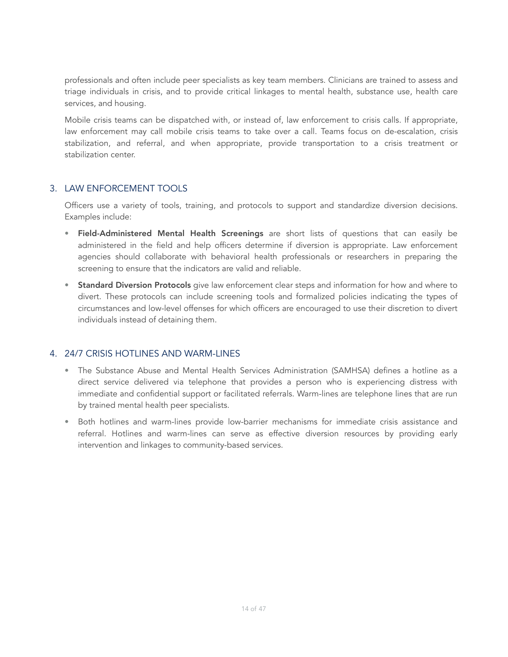professionals and often include peer specialists as key team members. Clinicians are trained to assess and triage individuals in crisis, and to provide critical linkages to mental health, substance use, health care services, and housing.

Mobile crisis teams can be dispatched with, or instead of, law enforcement to crisis calls. If appropriate, law enforcement may call mobile crisis teams to take over a call. Teams focus on de-escalation, crisis stabilization, and referral, and when appropriate, provide transportation to a crisis treatment or stabilization center.

### 3. LAW ENFORCEMENT TOOLS

Officers use a variety of tools, training, and protocols to support and standardize diversion decisions. Examples include:

- Field-Administered Mental Health Screenings are short lists of questions that can easily be administered in the field and help officers determine if diversion is appropriate. Law enforcement agencies should collaborate with behavioral health professionals or researchers in preparing the screening to ensure that the indicators are valid and reliable.
- Standard Diversion Protocols give law enforcement clear steps and information for how and where to divert. These protocols can include screening tools and formalized policies indicating the types of circumstances and low-level offenses for which officers are encouraged to use their discretion to divert individuals instead of detaining them.

### 4. 24/7 CRISIS HOTLINES AND WARM-LINES

- The Substance Abuse and Mental Health Services Administration (SAMHSA) defines a hotline as a direct service delivered via telephone that provides a person who is experiencing distress with immediate and confidential support or facilitated referrals. Warm-lines are telephone lines that are run by trained mental health peer specialists.
- Both hotlines and warm-lines provide low-barrier mechanisms for immediate crisis assistance and referral. Hotlines and warm-lines can serve as effective diversion resources by providing early intervention and linkages to community-based services.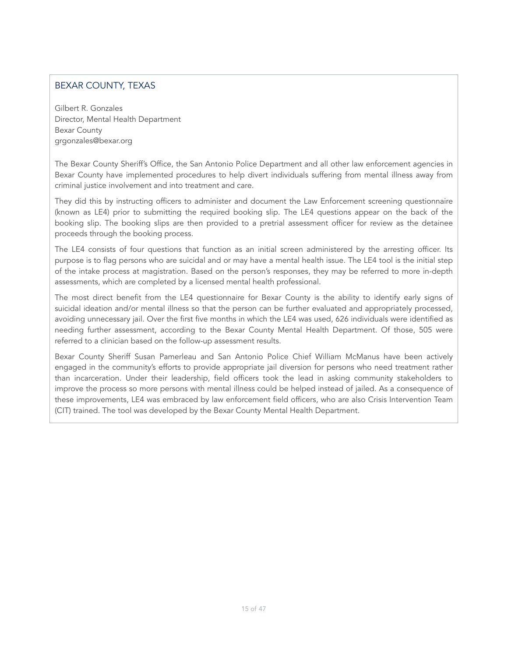# BEXAR COUNTY, TEXAS

Gilbert R. Gonzales Director, Mental Health Department Bexar County [grgonzales@bexar.org](mailto:grgonzales@bexar.org)

The Bexar County Sheriff's Office, the San Antonio Police Department and all other law enforcement agencies in Bexar County have implemented procedures to help divert individuals suffering from mental illness away from criminal justice involvement and into treatment and care.

They did this by instructing officers to administer and document the Law Enforcement screening questionnaire (known as LE4) prior to submitting the required booking slip. The LE4 questions appear on the back of the booking slip. The booking slips are then provided to a pretrial assessment officer for review as the detainee proceeds through the booking process.

The LE4 consists of four questions that function as an initial screen administered by the arresting officer. Its purpose is to flag persons who are suicidal and or may have a mental health issue. The LE4 tool is the initial step of the intake process at magistration. Based on the person's responses, they may be referred to more in-depth assessments, which are completed by a licensed mental health professional.

The most direct benefit from the LE4 questionnaire for Bexar County is the ability to identify early signs of suicidal ideation and/or mental illness so that the person can be further evaluated and appropriately processed, avoiding unnecessary jail. Over the first five months in which the LE4 was used, 626 individuals were identified as needing further assessment, according to the Bexar County Mental Health Department. Of those, 505 were referred to a clinician based on the follow-up assessment results.

Bexar County Sheriff Susan Pamerleau and San Antonio Police Chief William McManus have been actively engaged in the community's efforts to provide appropriate jail diversion for persons who need treatment rather than incarceration. Under their leadership, field officers took the lead in asking community stakeholders to improve the process so more persons with mental illness could be helped instead of jailed. As a consequence of these improvements, LE4 was embraced by law enforcement field officers, who are also Crisis Intervention Team (CIT) trained. The tool was developed by the Bexar County Mental Health Department.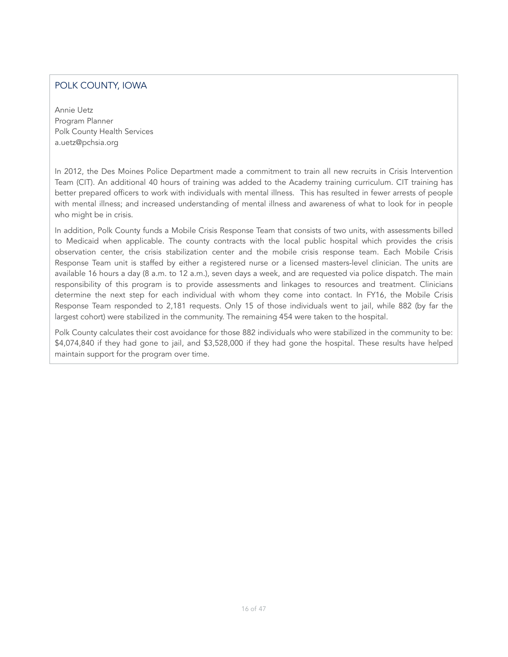# POLK COUNTY, IOWA

Annie Uetz Program Planner Polk County Health Services a.uetz@pchsia.org

In 2012, the Des Moines Police Department made a commitment to train all new recruits in Crisis Intervention Team (CIT). An additional 40 hours of training was added to the Academy training curriculum. CIT training has better prepared officers to work with individuals with mental illness. This has resulted in fewer arrests of people with mental illness; and increased understanding of mental illness and awareness of what to look for in people who might be in crisis.

In addition, Polk County funds a Mobile Crisis Response Team that consists of two units, with assessments billed to Medicaid when applicable. The county contracts with the local public hospital which provides the crisis observation center, the crisis stabilization center and the mobile crisis response team. Each Mobile Crisis Response Team unit is staffed by either a registered nurse or a licensed masters-level clinician. The units are available 16 hours a day (8 a.m. to 12 a.m.), seven days a week, and are requested via police dispatch. The main responsibility of this program is to provide assessments and linkages to resources and treatment. Clinicians determine the next step for each individual with whom they come into contact. In FY16, the Mobile Crisis Response Team responded to 2,181 requests. Only 15 of those individuals went to jail, while 882 (by far the largest cohort) were stabilized in the community. The remaining 454 were taken to the hospital.

Polk County calculates their cost avoidance for those 882 individuals who were stabilized in the community to be: \$4,074,840 if they had gone to jail, and \$3,528,000 if they had gone the hospital. These results have helped maintain support for the program over time.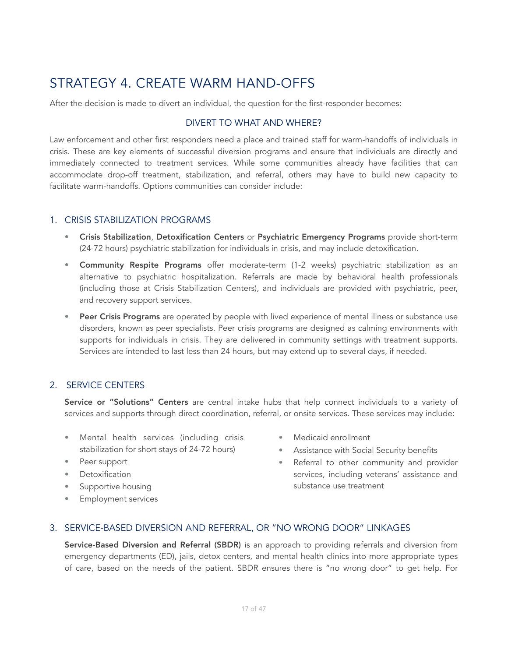# <span id="page-16-0"></span>STRATEGY 4. CREATE WARM HAND-OFFS

After the decision is made to divert an individual, the question for the first-responder becomes:

### DIVERT TO WHAT AND WHERE?

Law enforcement and other first responders need a place and trained staff for warm-handoffs of individuals in crisis. These are key elements of successful diversion programs and ensure that individuals are directly and immediately connected to treatment services. While some communities already have facilities that can accommodate drop-off treatment, stabilization, and referral, others may have to build new capacity to facilitate warm-handoffs. Options communities can consider include:

### 1. CRISIS STABILIZATION PROGRAMS

- Crisis Stabilization, Detoxification Centers or Psychiatric Emergency Programs provide short-term (24-72 hours) psychiatric stabilization for individuals in crisis, and may include detoxification.
- Community Respite Programs offer moderate-term (1-2 weeks) psychiatric stabilization as an alternative to psychiatric hospitalization. Referrals are made by behavioral health professionals (including those at Crisis Stabilization Centers), and individuals are provided with psychiatric, peer, and recovery support services.
- Peer Crisis Programs are operated by people with lived experience of mental illness or substance use disorders, known as peer specialists. Peer crisis programs are designed as calming environments with supports for individuals in crisis. They are delivered in community settings with treatment supports. Services are intended to last less than 24 hours, but may extend up to several days, if needed.

### 2. SERVICE CENTERS

Service or "Solutions" Centers are central intake hubs that help connect individuals to a variety of services and supports through direct coordination, referral, or onsite services. These services may include:

- Mental health services (including crisis stabilization for short stays of 24-72 hours)
- Peer support
- Detoxification
- Supportive housing
- Employment services
- Medicaid enrollment
- Assistance with Social Security benefits
- Referral to other community and provider services, including veterans' assistance and substance use treatment

#### 3. SERVICE-BASED DIVERSION AND REFERRAL, OR "NO WRONG DOOR" LINKAGES

Service-Based Diversion and Referral (SBDR) is an approach to providing referrals and diversion from emergency departments (ED), jails, detox centers, and mental health clinics into more appropriate types of care, based on the needs of the patient. SBDR ensures there is "no wrong door" to get help. For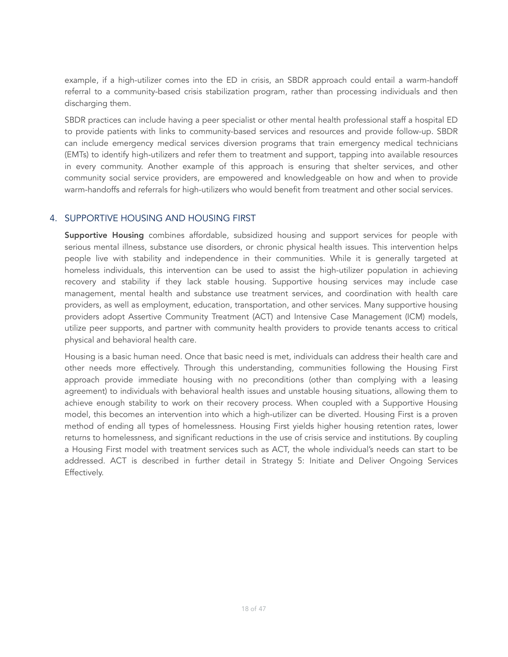example, if a high-utilizer comes into the ED in crisis, an SBDR approach could entail a warm-handoff referral to a community-based crisis stabilization program, rather than processing individuals and then discharging them.

SBDR practices can include having a peer specialist or other mental health professional staff a hospital ED to provide patients with links to community-based services and resources and provide follow-up. SBDR can include emergency medical services diversion programs that train emergency medical technicians (EMTs) to identify high-utilizers and refer them to treatment and support, tapping into available resources in every community. Another example of this approach is ensuring that shelter services, and other community social service providers, are empowered and knowledgeable on how and when to provide warm-handoffs and referrals for high-utilizers who would benefit from treatment and other social services.

### 4. SUPPORTIVE HOUSING AND HOUSING FIRST

Supportive Housing combines affordable, subsidized housing and support services for people with serious mental illness, substance use disorders, or chronic physical health issues. This intervention helps people live with stability and independence in their communities. While it is generally targeted at homeless individuals, this intervention can be used to assist the high-utilizer population in achieving recovery and stability if they lack stable housing. Supportive housing services may include case management, mental health and substance use treatment services, and coordination with health care providers, as well as employment, education, transportation, and other services. Many supportive housing providers adopt Assertive Community Treatment (ACT) and Intensive Case Management (ICM) models, utilize peer supports, and partner with community health providers to provide tenants access to critical physical and behavioral health care.

Housing is a basic human need. Once that basic need is met, individuals can address their health care and other needs more effectively. Through this understanding, communities following the Housing First approach provide immediate housing with no preconditions (other than complying with a leasing agreement) to individuals with behavioral health issues and unstable housing situations, allowing them to achieve enough stability to work on their recovery process. When coupled with a Supportive Housing model, this becomes an intervention into which a high-utilizer can be diverted. Housing First is a proven method of ending all types of homelessness. Housing First yields higher housing retention rates, lower returns to homelessness, and significant reductions in the use of crisis service and institutions. By coupling a Housing First model with treatment services such as ACT, the whole individual's needs can start to be addressed. ACT is described in further detail in Strategy 5: Initiate and Deliver Ongoing Services Effectively.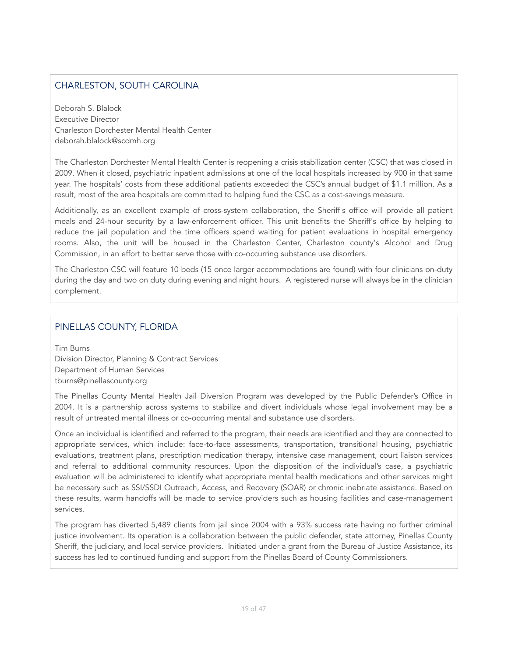# CHARLESTON, SOUTH CAROLINA

Deborah S. Blalock Executive Director Charleston Dorchester Mental Health Center deborah.blalock@scdmh.org

The Charleston Dorchester Mental Health Center is reopening a crisis stabilization center (CSC) that was closed in 2009. When it closed, psychiatric inpatient admissions at one of the local hospitals increased by 900 in that same year. The hospitals' costs from these additional patients exceeded the CSC's annual budget of \$1.1 million. As a result, most of the area hospitals are committed to helping fund the CSC as a cost-savings measure.

Additionally, as an excellent example of cross-system collaboration, the Sheriff's office will provide all patient meals and 24-hour security by a law-enforcement officer. This unit benefits the Sheriff's office by helping to reduce the jail population and the time officers spend waiting for patient evaluations in hospital emergency rooms. Also, the unit will be housed in the Charleston Center, Charleston county's Alcohol and Drug Commission, in an effort to better serve those with co-occurring substance use disorders.

The Charleston CSC will feature 10 beds (15 once larger accommodations are found) with four clinicians on-duty during the day and two on duty during evening and night hours. A registered nurse will always be in the clinician complement.

# PINELLAS COUNTY, FLORIDA

Tim Burns Division Director, Planning & Contract Services Department of Human Services tburns@pinellascounty.org

The Pinellas County Mental Health Jail Diversion Program was developed by the Public Defender's Office in 2004. It is a partnership across systems to stabilize and divert individuals whose legal involvement may be a result of untreated mental illness or co-occurring mental and substance use disorders.

Once an individual is identified and referred to the program, their needs are identified and they are connected to appropriate services, which include: face-to-face assessments, transportation, transitional housing, psychiatric evaluations, treatment plans, prescription medication therapy, intensive case management, court liaison services and referral to additional community resources. Upon the disposition of the individual's case, a psychiatric evaluation will be administered to identify what appropriate mental health medications and other services might be necessary such as SSI/SSDI Outreach, Access, and Recovery (SOAR) or chronic inebriate assistance. Based on these results, warm handoffs will be made to service providers such as housing facilities and case-management services.

The program has diverted 5,489 clients from jail since 2004 with a 93% success rate having no further criminal justice involvement. Its operation is a collaboration between the public defender, state attorney, Pinellas County Sheriff, the judiciary, and local service providers. Initiated under a grant from the Bureau of Justice Assistance, its success has led to continued funding and support from the Pinellas Board of County Commissioners.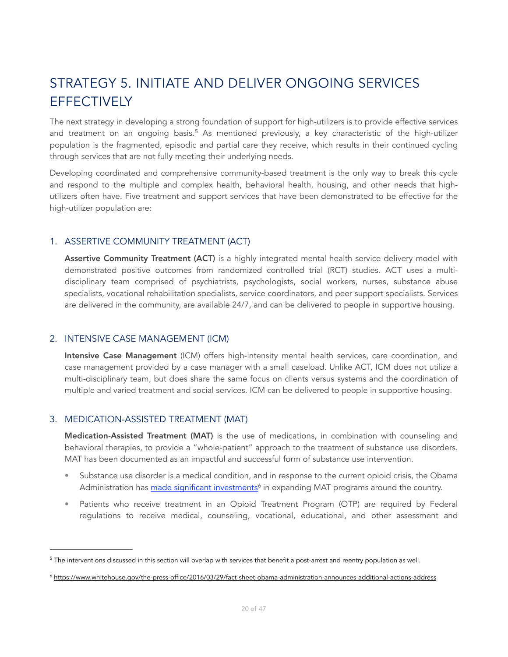# <span id="page-19-0"></span>STRATEGY 5. INITIATE AND DELIVER ONGOING SERVICES **EFFECTIVELY**

<span id="page-19-3"></span>The next strategy in developing a strong foundation of support for high-utilizers is to provide effective services and treatment on an ongoing basis.<sup>[5](#page-19-1)</sup> As mentioned previously, a key characteristic of the high-utilizer population is the fragmented, episodic and partial care they receive, which results in their continued cycling through services that are not fully meeting their underlying needs.

Developing coordinated and comprehensive community-based treatment is the only way to break this cycle and respond to the multiple and complex health, behavioral health, housing, and other needs that highutilizers often have. Five treatment and support services that have been demonstrated to be effective for the high-utilizer population are:

# 1. ASSERTIVE COMMUNITY TREATMENT (ACT)

Assertive Community Treatment (ACT) is a highly integrated mental health service delivery model with demonstrated positive outcomes from randomized controlled trial (RCT) studies. ACT uses a multidisciplinary team comprised of psychiatrists, psychologists, social workers, nurses, substance abuse specialists, vocational rehabilitation specialists, service coordinators, and peer support specialists. Services are delivered in the community, are available 24/7, and can be delivered to people in supportive housing.

### 2. INTENSIVE CASE MANAGEMENT (ICM)

Intensive Case Management (ICM) offers high-intensity mental health services, care coordination, and case management provided by a case manager with a small caseload. Unlike ACT, ICM does not utilize a multi-disciplinary team, but does share the same focus on clients versus systems and the coordination of multiple and varied treatment and social services. ICM can be delivered to people in supportive housing.

### 3. MEDICATION-ASSISTED TREATMENT (MAT)

Medication-Assisted Treatment (MAT) is the use of medications, in combination with counseling and behavioral therapies, to provide a "whole-patient" approach to the treatment of substance use disorders. MAT has been documented as an impactful and successful form of substance use intervention.

- Substance use disorder is a medical condition, and in response to the current opioid crisis, the Obama Administration has [made significant investments](https://www.whitehouse.gov/the-press-office/2016/03/29/fact-sheet-obama-administration-announces-additional-actions-address)<sup>[6](#page-19-2)</sup> in expanding MAT programs around the country.
- <span id="page-19-4"></span>• Patients who receive treatment in an Opioid Treatment Program (OTP) are required by Federal regulations to receive medical, counseling, vocational, educational, and other assessment and

<span id="page-19-1"></span> $5$  The interventions discussed in this section will overlap with services that benefit a post-arrest and reentry population as well.

<span id="page-19-2"></span><https://www.whitehouse.gov/the-press-office/2016/03/29/fact-sheet-obama-administration-announces-additional-actions-address> [6](#page-19-4)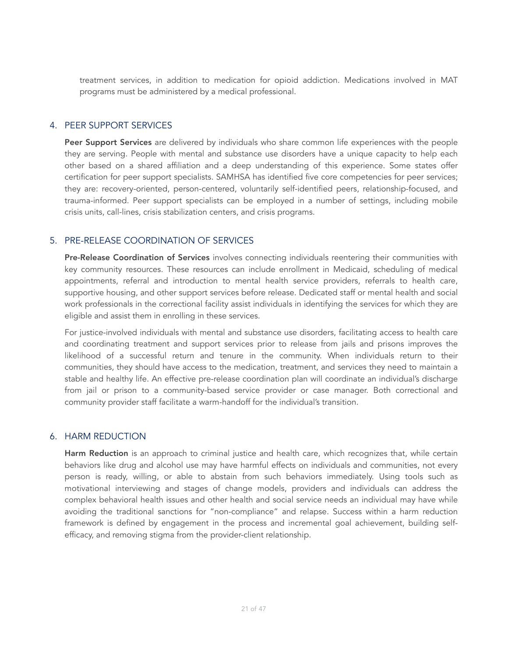treatment services, in addition to medication for opioid addiction. Medications involved in MAT programs must be administered by a medical professional.

### 4. PEER SUPPORT SERVICES

Peer Support Services are delivered by individuals who share common life experiences with the people they are serving. People with mental and substance use disorders have a unique capacity to help each other based on a shared affiliation and a deep understanding of this experience. Some states offer certification for peer support specialists. SAMHSA has identified five core competencies for peer services; they are: recovery-oriented, person-centered, voluntarily self-identified peers, relationship-focused, and trauma-informed. Peer support specialists can be employed in a number of settings, including mobile crisis units, call-lines, crisis stabilization centers, and crisis programs.

# 5. PRE-RELEASE COORDINATION OF SERVICES

Pre-Release Coordination of Services involves connecting individuals reentering their communities with key community resources. These resources can include enrollment in Medicaid, scheduling of medical appointments, referral and introduction to mental health service providers, referrals to health care, supportive housing, and other support services before release. Dedicated staff or mental health and social work professionals in the correctional facility assist individuals in identifying the services for which they are eligible and assist them in enrolling in these services.

For justice-involved individuals with mental and substance use disorders, facilitating access to health care and coordinating treatment and support services prior to release from jails and prisons improves the likelihood of a successful return and tenure in the community. When individuals return to their communities, they should have access to the medication, treatment, and services they need to maintain a stable and healthy life. An effective pre-release coordination plan will coordinate an individual's discharge from jail or prison to a community-based service provider or case manager. Both correctional and community provider staff facilitate a warm-handoff for the individual's transition.

### 6. HARM REDUCTION

Harm Reduction is an approach to criminal justice and health care, which recognizes that, while certain behaviors like drug and alcohol use may have harmful effects on individuals and communities, not every person is ready, willing, or able to abstain from such behaviors immediately. Using tools such as motivational interviewing and stages of change models, providers and individuals can address the complex behavioral health issues and other health and social service needs an individual may have while avoiding the traditional sanctions for "non-compliance" and relapse. Success within a harm reduction framework is defined by engagement in the process and incremental goal achievement, building selfefficacy, and removing stigma from the provider-client relationship.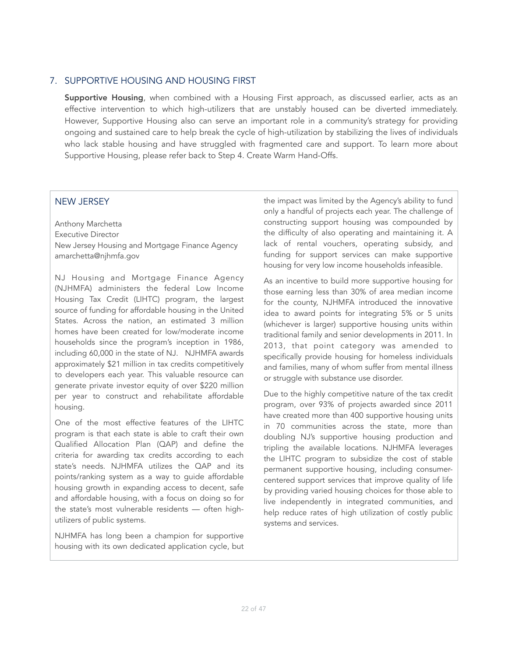#### 7. SUPPORTIVE HOUSING AND HOUSING FIRST

Supportive Housing, when combined with a Housing First approach, as discussed earlier, acts as an effective intervention to which high-utilizers that are unstably housed can be diverted immediately. However, Supportive Housing also can serve an important role in a community's strategy for providing ongoing and sustained care to help break the cycle of high-utilization by stabilizing the lives of individuals who lack stable housing and have struggled with fragmented care and support. To learn more about Supportive Housing, please refer back to Step 4. Create Warm Hand-Offs.

### NEW JERSEY

Anthony Marchetta Executive Director New Jersey Housing and Mortgage Finance Agency amarchetta@njhmfa.gov

NJ Housing and Mortgage Finance Agency (NJHMFA) administers the federal Low Income Housing Tax Credit (LIHTC) program, the largest source of funding for affordable housing in the United States. Across the nation, an estimated 3 million homes have been created for low/moderate income households since the program's inception in 1986, including 60,000 in the state of NJ. NJHMFA awards approximately \$21 million in tax credits competitively to developers each year. This valuable resource can generate private investor equity of over \$220 million per year to construct and rehabilitate affordable housing.

One of the most effective features of the LIHTC program is that each state is able to craft their own Qualified Allocation Plan (QAP) and define the criteria for awarding tax credits according to each state's needs. NJHMFA utilizes the QAP and its points/ranking system as a way to guide affordable housing growth in expanding access to decent, safe and affordable housing, with a focus on doing so for the state's most vulnerable residents — often highutilizers of public systems.

NJHMFA has long been a champion for supportive housing with its own dedicated application cycle, but the impact was limited by the Agency's ability to fund only a handful of projects each year. The challenge of constructing support housing was compounded by the difficulty of also operating and maintaining it. A lack of rental vouchers, operating subsidy, and funding for support services can make supportive housing for very low income households infeasible.

As an incentive to build more supportive housing for those earning less than 30% of area median income for the county, NJHMFA introduced the innovative idea to award points for integrating 5% or 5 units (whichever is larger) supportive housing units within traditional family and senior developments in 2011. In 2013, that point category was amended to specifically provide housing for homeless individuals and families, many of whom suffer from mental illness or struggle with substance use disorder.

Due to the highly competitive nature of the tax credit program, over 93% of projects awarded since 2011 have created more than 400 supportive housing units in 70 communities across the state, more than doubling NJ's supportive housing production and tripling the available locations. NJHMFA leverages the LIHTC program to subsidize the cost of stable permanent supportive housing, including consumercentered support services that improve quality of life by providing varied housing choices for those able to live independently in integrated communities, and help reduce rates of high utilization of costly public systems and services.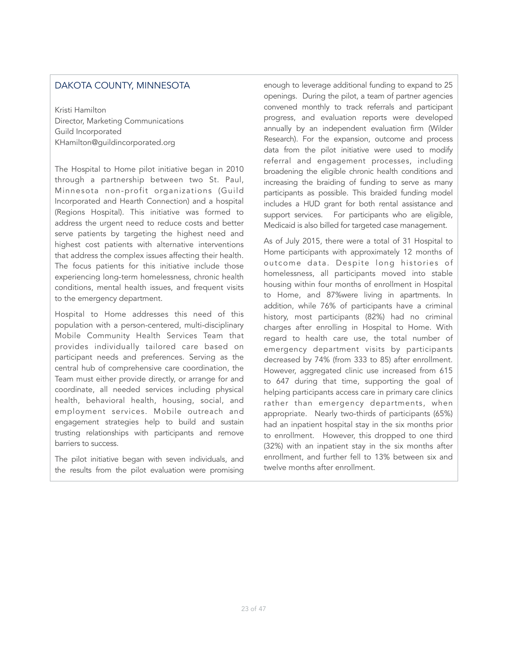### DAKOTA COUNTY, MINNESOTA

Kristi Hamilton Director, Marketing Communications Guild Incorporated KHamilton@guildincorporated.org

The Hospital to Home pilot initiative began in 2010 through a partnership between two St. Paul, Minnesota non-profit organizations (Guild Incorporated and Hearth Connection) and a hospital (Regions Hospital). This initiative was formed to address the urgent need to reduce costs and better serve patients by targeting the highest need and highest cost patients with alternative interventions that address the complex issues affecting their health. The focus patients for this initiative include those experiencing long-term homelessness, chronic health conditions, mental health issues, and frequent visits to the emergency department.

Hospital to Home addresses this need of this population with a person-centered, multi-disciplinary Mobile Community Health Services Team that provides individually tailored care based on participant needs and preferences. Serving as the central hub of comprehensive care coordination, the Team must either provide directly, or arrange for and coordinate, all needed services including physical health, behavioral health, housing, social, and employment services. Mobile outreach and engagement strategies help to build and sustain trusting relationships with participants and remove barriers to success.

The pilot initiative began with seven individuals, and the results from the pilot evaluation were promising

enough to leverage additional funding to expand to 25 openings. During the pilot, a team of partner agencies convened monthly to track referrals and participant progress, and evaluation reports were developed annually by an independent evaluation firm (Wilder Research). For the expansion, outcome and process data from the pilot initiative were used to modify referral and engagement processes, including broadening the eligible chronic health conditions and increasing the braiding of funding to serve as many participants as possible. This braided funding model includes a HUD grant for both rental assistance and support services. For participants who are eligible, Medicaid is also billed for targeted case management.

As of July 2015, there were a total of 31 Hospital to Home participants with approximately 12 months of outcome data. Despite long histories of homelessness, all participants moved into stable housing within four months of enrollment in Hospital to Home, and 87%were living in apartments. In addition, while 76% of participants have a criminal history, most participants (82%) had no criminal charges after enrolling in Hospital to Home. With regard to health care use, the total number of emergency department visits by participants decreased by 74% (from 333 to 85) after enrollment. However, aggregated clinic use increased from 615 to 647 during that time, supporting the goal of helping participants access care in primary care clinics rather than emergency departments, when appropriate. Nearly two-thirds of participants (65%) had an inpatient hospital stay in the six months prior to enrollment. However, this dropped to one third (32%) with an inpatient stay in the six months after enrollment, and further fell to 13% between six and twelve months after enrollment.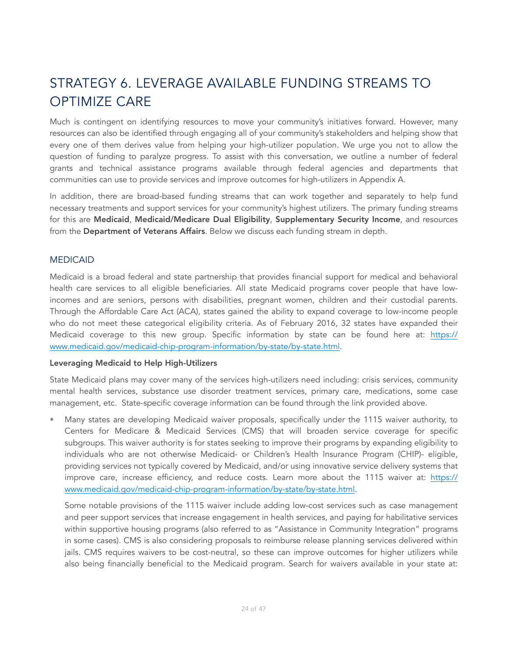# <span id="page-23-0"></span>STRATEGY 6. LEVERAGE AVAILABLE FUNDING STREAMS TO OPTIMIZE CARE

Much is contingent on identifying resources to move your community's initiatives forward. However, many resources can also be identified through engaging all of your community's stakeholders and helping show that every one of them derives value from helping your high-utilizer population. We urge you not to allow the question of funding to paralyze progress. To assist with this conversation, we outline a number of federal grants and technical assistance programs available through federal agencies and departments that communities can use to provide services and improve outcomes for high-utilizers in Appendix A.

In addition, there are broad-based funding streams that can work together and separately to help fund necessary treatments and support services for your community's highest utilizers. The primary funding streams for this are Medicaid, Medicaid/Medicare Dual Eligibility, Supplementary Security Income, and resources from the Department of Veterans Affairs. Below we discuss each funding stream in depth.

#### MEDICAID

Medicaid is a broad federal and state partnership that provides financial support for medical and behavioral health care services to all eligible beneficiaries. All state Medicaid programs cover people that have lowincomes and are seniors, persons with disabilities, pregnant women, children and their custodial parents. Through the Affordable Care Act (ACA), states gained the ability to expand coverage to low-income people who do not meet these categorical eligibility criteria. As of February 2016, 32 states have expanded their Medicaid coverage to this new group. Specific information by state can be found here at: [https://](https://www.medicaid.gov/medicaid-chip-program-information/by-state/by-state.html) [www.medicaid.gov/medicaid-chip-program-information/by-state/by-state.html.](https://www.medicaid.gov/medicaid-chip-program-information/by-state/by-state.html)

#### Leveraging Medicaid to Help High-Utilizers

State Medicaid plans may cover many of the services high-utilizers need including: crisis services, community mental health services, substance use disorder treatment services, primary care, medications, some case management, etc. State-specific coverage information can be found through the link provided above.

• Many states are developing Medicaid waiver proposals, specifically under the 1115 waiver authority, to Centers for Medicare & Medicaid Services (CMS) that will broaden service coverage for specific subgroups. This waiver authority is for states seeking to improve their programs by expanding eligibility to individuals who are not otherwise Medicaid- or Children's Health Insurance Program (CHIP)- eligible, providing services not typically covered by Medicaid, and/or using innovative service delivery systems that improve care, increase efficiency, and reduce costs. Learn more about the 1115 waiver at: [https://](https://www.medicaid.gov/medicaid-chip-program-information/by-state/by-state.html) [www.medicaid.gov/medicaid-chip-program-information/by-state/by-state.html.](https://www.medicaid.gov/medicaid-chip-program-information/by-state/by-state.html)

Some notable provisions of the 1115 waiver include adding low-cost services such as case management and peer support services that increase engagement in health services, and paying for habilitative services within supportive housing programs (also referred to as "Assistance in Community Integration" programs in some cases). CMS is also considering proposals to reimburse release planning services delivered within jails. CMS requires waivers to be cost-neutral, so these can improve outcomes for higher utilizers while also being financially beneficial to the Medicaid program. Search for waivers available in your state at: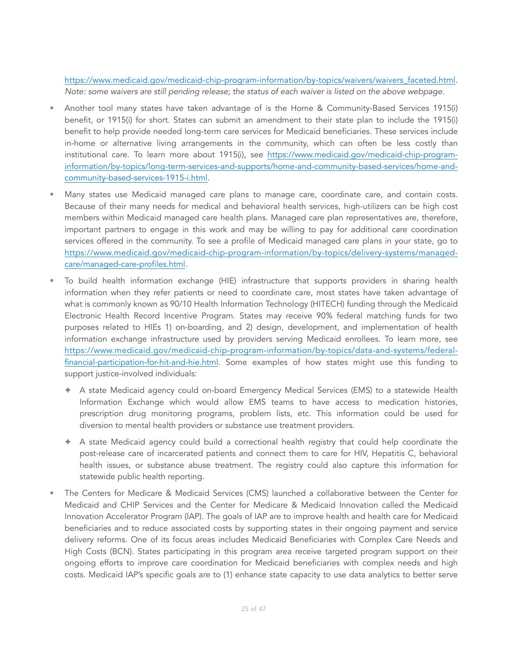[https://www.medicaid.gov/medicaid-chip-program-information/by-topics/waivers/waivers\\_faceted.html](https://www.medicaid.gov/medicaid-chip-program-information/by-topics/waivers/waivers_faceted.html). *Note: some waivers are still pending release; the status of each waiver is listed on the above webpage*.

- Another tool many states have taken advantage of is the Home & Community-Based Services 1915(i) benefit, or 1915(i) for short. States can submit an amendment to their state plan to include the 1915(i) benefit to help provide needed long-term care services for Medicaid beneficiaries. These services include in-home or alternative living arrangements in the community, which can often be less costly than institutional care. To learn more about 1915(i), see [https://www.medicaid.gov/medicaid-chip-program](https://www.medicaid.gov/medicaid-chip-program-information/by-topics/long-term-services-and-supports/home-and-community-based-services/home-and-community-based-services-1915-i.html)[information/by-topics/long-term-services-and-supports/home-and-community-based-services/home-and](https://www.medicaid.gov/medicaid-chip-program-information/by-topics/long-term-services-and-supports/home-and-community-based-services/home-and-community-based-services-1915-i.html)[community-based-services-1915-i.html](https://www.medicaid.gov/medicaid-chip-program-information/by-topics/long-term-services-and-supports/home-and-community-based-services/home-and-community-based-services-1915-i.html).
- Many states use Medicaid managed care plans to manage care, coordinate care, and contain costs. Because of their many needs for medical and behavioral health services, high-utilizers can be high cost members within Medicaid managed care health plans. Managed care plan representatives are, therefore, important partners to engage in this work and may be willing to pay for additional care coordination services offered in the community. To see a profile of Medicaid managed care plans in your state, go to [https://www.medicaid.gov/medicaid-chip-program-information/by-topics/delivery-systems/managed](https://www.medicaid.gov/medicaid-chip-program-information/by-topics/delivery-systems/managed-care/managed-care-profiles.html)[care/managed-care-profiles.html](https://www.medicaid.gov/medicaid-chip-program-information/by-topics/delivery-systems/managed-care/managed-care-profiles.html).
- To build health information exchange (HIE) infrastructure that supports providers in sharing health information when they refer patients or need to coordinate care, most states have taken advantage of what is commonly known as 90/10 Health Information Technology (HITECH) funding through the Medicaid Electronic Health Record Incentive Program. States may receive 90% federal matching funds for two purposes related to HIEs 1) on-boarding, and 2) design, development, and implementation of health information exchange infrastructure used by providers serving Medicaid enrollees. To learn more, see [https://www.medicaid.gov/medicaid-chip-program-information/by-topics/data-and-systems/federal](https://www.medicaid.gov/medicaid-chip-program-information/by-topics/data-and-systems/federal-financial-participation-for-hit-and-hie.html)[financial-participation-for-hit-and-hie.html](https://www.medicaid.gov/medicaid-chip-program-information/by-topics/data-and-systems/federal-financial-participation-for-hit-and-hie.html). Some examples of how states might use this funding to support justice-involved individuals:
	- ✦ A state Medicaid agency could on-board Emergency Medical Services (EMS) to a statewide Health Information Exchange which would allow EMS teams to have access to medication histories, prescription drug monitoring programs, problem lists, etc. This information could be used for diversion to mental health providers or substance use treatment providers.
	- ✦ A state Medicaid agency could build a correctional health registry that could help coordinate the post-release care of incarcerated patients and connect them to care for HIV, Hepatitis C, behavioral health issues, or substance abuse treatment. The registry could also capture this information for statewide public health reporting.
- The Centers for Medicare & Medicaid Services (CMS) launched a collaborative between the Center for Medicaid and CHIP Services and the Center for Medicare & Medicaid Innovation called the Medicaid Innovation Accelerator Program (IAP). The goals of IAP are to improve health and health care for Medicaid beneficiaries and to reduce associated costs by supporting states in their ongoing payment and service delivery reforms. One of its focus areas includes Medicaid Beneficiaries with Complex Care Needs and High Costs (BCN). States participating in this program area receive targeted program support on their ongoing efforts to improve care coordination for Medicaid beneficiaries with complex needs and high costs. Medicaid IAP's specific goals are to (1) enhance state capacity to use data analytics to better serve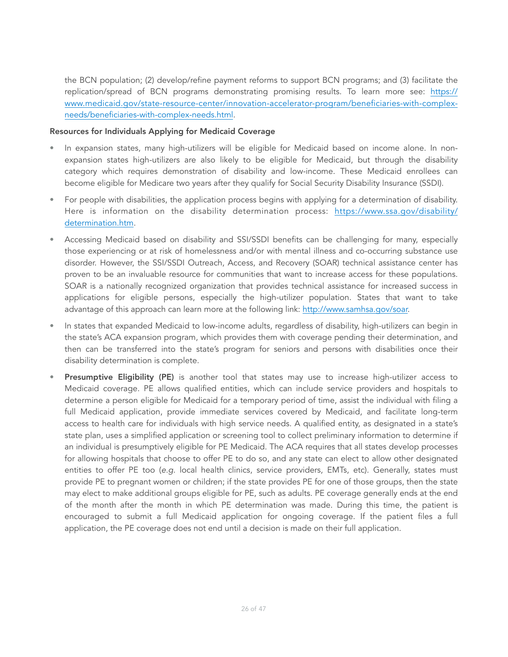the BCN population; (2) develop/refine payment reforms to support BCN programs; and (3) facilitate the replication/spread of BCN programs demonstrating promising results. To learn more see: [https://](https://www.medicaid.gov/state-resource-center/innovation-accelerator-program/beneficiaries-with-complex-needs/beneficiaries-with-complex-needs.html) [www.medicaid.gov/state-resource-center/innovation-accelerator-program/beneficiaries-with-complex](https://www.medicaid.gov/state-resource-center/innovation-accelerator-program/beneficiaries-with-complex-needs/beneficiaries-with-complex-needs.html)[needs/beneficiaries-with-complex-needs.html](https://www.medicaid.gov/state-resource-center/innovation-accelerator-program/beneficiaries-with-complex-needs/beneficiaries-with-complex-needs.html).

#### Resources for Individuals Applying for Medicaid Coverage

- In expansion states, many high-utilizers will be eligible for Medicaid based on income alone. In nonexpansion states high-utilizers are also likely to be eligible for Medicaid, but through the disability category which requires demonstration of disability and low-income. These Medicaid enrollees can become eligible for Medicare two years after they qualify for Social Security Disability Insurance (SSDI).
- For people with disabilities, the application process begins with applying for a determination of disability. Here is information on the disability determination process: [https://www.ssa.gov/disability/](https://www.ssa.gov/disability/determination.htm) [determination.htm](https://www.ssa.gov/disability/determination.htm).
- Accessing Medicaid based on disability and SSI/SSDI benefits can be challenging for many, especially those experiencing or at risk of homelessness and/or with mental illness and co-occurring substance use disorder. However, the SSI/SSDI Outreach, Access, and Recovery (SOAR) technical assistance center has proven to be an invaluable resource for communities that want to increase access for these populations. SOAR is a nationally recognized organization that provides technical assistance for increased success in applications for eligible persons, especially the high-utilizer population. States that want to take advantage of this approach can learn more at the following link: [http://www.samhsa.gov/soar.](http://www.samhsa.gov/soar)
- In states that expanded Medicaid to low-income adults, regardless of disability, high-utilizers can begin in the state's ACA expansion program, which provides them with coverage pending their determination, and then can be transferred into the state's program for seniors and persons with disabilities once their disability determination is complete.
- Presumptive Eligibility (PE) is another tool that states may use to increase high-utilizer access to Medicaid coverage. PE allows qualified entities, which can include service providers and hospitals to determine a person eligible for Medicaid for a temporary period of time, assist the individual with filing a full Medicaid application, provide immediate services covered by Medicaid, and facilitate long-term access to health care for individuals with high service needs. A qualified entity, as designated in a state's state plan, uses a simplified application or screening tool to collect preliminary information to determine if an individual is presumptively eligible for PE Medicaid. The ACA requires that all states develop processes for allowing hospitals that choose to offer PE to do so, and any state can elect to allow other designated entities to offer PE too (*e.g.* local health clinics, service providers, EMTs, etc). Generally, states must provide PE to pregnant women or children; if the state provides PE for one of those groups, then the state may elect to make additional groups eligible for PE, such as adults. PE coverage generally ends at the end of the month after the month in which PE determination was made. During this time, the patient is encouraged to submit a full Medicaid application for ongoing coverage. If the patient files a full application, the PE coverage does not end until a decision is made on their full application.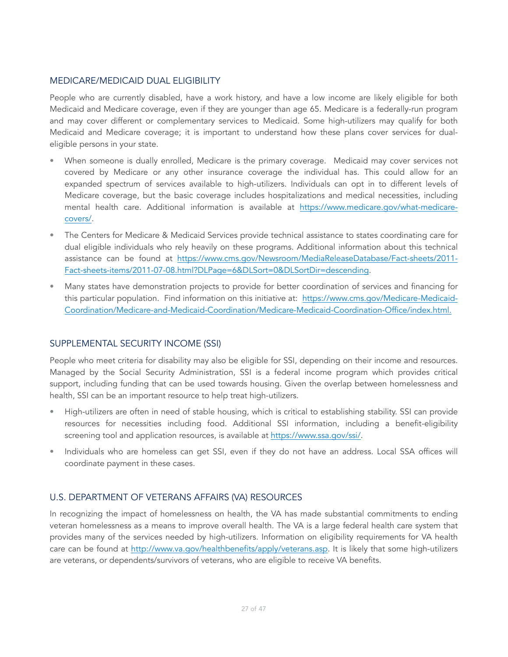### MEDICARE/MEDICAID DUAL ELIGIBILITY

People who are currently disabled, have a work history, and have a low income are likely eligible for both Medicaid and Medicare coverage, even if they are younger than age 65. Medicare is a federally-run program and may cover different or complementary services to Medicaid. Some high-utilizers may qualify for both Medicaid and Medicare coverage; it is important to understand how these plans cover services for dualeligible persons in your state.

- When someone is dually enrolled, Medicare is the primary coverage. Medicaid may cover services not covered by Medicare or any other insurance coverage the individual has. This could allow for an expanded spectrum of services available to high-utilizers. Individuals can opt in to different levels of Medicare coverage, but the basic coverage includes hospitalizations and medical necessities, including mental health care. Additional information is available at [https://www.medicare.gov/what-medicare](https://www.medicare.gov/what-medicare-covers/)[covers/](https://www.medicare.gov/what-medicare-covers/).
- The Centers for Medicare & Medicaid Services provide technical assistance to states coordinating care for dual eligible individuals who rely heavily on these programs. Additional information about this technical [assistance can be found at https://www.cms.gov/Newsroom/MediaReleaseDatabase/Fact-sheets/2011-](https://www.cms.gov/Newsroom/MediaReleaseDatabase/Fact-sheets/2011-Fact-sheets-items/2011-07-08.html?DLPage=6&DLSort=0&DLSortDir=descending) [Fact-sheets-items/2011-07-08.html?DLPage=6&DLSort=0&DLSortDir=descending.](https://www.cms.gov/Newsroom/MediaReleaseDatabase/Fact-sheets/2011-Fact-sheets-items/2011-07-08.html?DLPage=6&DLSort=0&DLSortDir=descending)
- Many states have demonstration projects to provide for better coordination of services and financing for [this particular population. Find information on this initiative at: https://www.cms.gov/Medicare-Medicaid-](https://www.cms.gov/Medicare-Medicaid-Coordination/Medicare-and-Medicaid-Coordination/Medicare-Medicaid-Coordination-Office/index.html)[Coordination/Medicare-and-Medicaid-Coordination/Medicare-Medicaid-Coordination-Office/index.html.](https://www.cms.gov/Medicare-Medicaid-Coordination/Medicare-and-Medicaid-Coordination/Medicare-Medicaid-Coordination-Office/index.html)

### SUPPLEMENTAL SECURITY INCOME (SSI)

People who meet criteria for disability may also be eligible for SSI, depending on their income and resources. Managed by the Social Security Administration, SSI is a federal income program which provides critical support, including funding that can be used towards housing. Given the overlap between homelessness and health, SSI can be an important resource to help treat high-utilizers.

- High-utilizers are often in need of stable housing, which is critical to establishing stability. SSI can provide resources for necessities including food. Additional SSI information, including a benefit-eligibility screening tool and application resources, is available at [https://www.ssa.gov/ssi/.](https://www.ssa.gov/ssi/)
- Individuals who are homeless can get SSI, even if they do not have an address. Local SSA offices will coordinate payment in these cases.

# U.S. DEPARTMENT OF VETERANS AFFAIRS (VA) RESOURCES

In recognizing the impact of homelessness on health, the VA has made substantial commitments to ending veteran homelessness as a means to improve overall health. The VA is a large federal health care system that provides many of the services needed by high-utilizers. Information on eligibility requirements for VA health care can be found at <http://www.va.gov/healthbenefits/apply/veterans.asp>. It is likely that some high-utilizers are veterans, or dependents/survivors of veterans, who are eligible to receive VA benefits.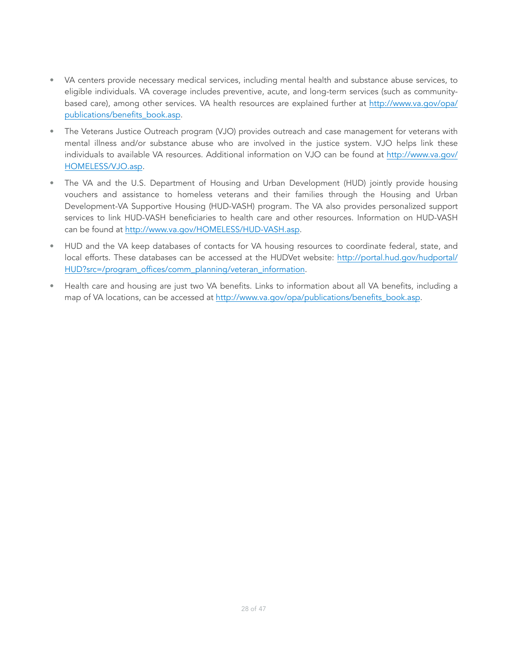- VA centers provide necessary medical services, including mental health and substance abuse services, to eligible individuals. VA coverage includes preventive, acute, and long-term services (such as communitybased care), among other services. VA health resources are explained further at [http://www.va.gov/opa/](http://www.va.gov/opa/publications/benefits_book.asp) [publications/benefits\\_book.asp.](http://www.va.gov/opa/publications/benefits_book.asp)
- The Veterans Justice Outreach program (VJO) provides outreach and case management for veterans with mental illness and/or substance abuse who are involved in the justice system. VJO helps link these individuals to available VA resources. Additional information on VJO can be found at [http://www.va.gov/](http://www.va.gov/HOMELESS/VJO.asp) [HOMELESS/VJO.asp.](http://www.va.gov/HOMELESS/VJO.asp)
- The VA and the U.S. Department of Housing and Urban Development (HUD) jointly provide housing vouchers and assistance to homeless veterans and their families through the Housing and Urban Development-VA Supportive Housing (HUD-VASH) program. The VA also provides personalized support services to link HUD-VASH beneficiaries to health care and other resources. Information on HUD-VASH can be found at <http://www.va.gov/HOMELESS/HUD-VASH.asp>.
- HUD and the VA keep databases of contacts for VA housing resources to coordinate federal, state, and local efforts. These databases can be accessed at the HUDVet website: [http://portal.hud.gov/hudportal/](http://portal.hud.gov/hudportal/HUD?src=/program_offices/comm_planning/veteran_information) [HUD?src=/program\\_offices/comm\\_planning/veteran\\_information.](http://portal.hud.gov/hudportal/HUD?src=/program_offices/comm_planning/veteran_information)
- Health care and housing are just two VA benefits. Links to information about all VA benefits, including a map of VA locations, can be accessed at [http://www.va.gov/opa/publications/benefits\\_book.asp.](http://www.va.gov/opa/publications/benefits_book.asp)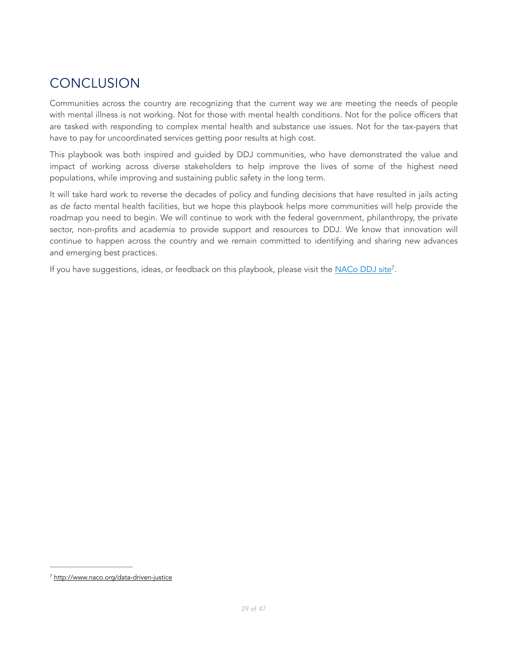# <span id="page-28-0"></span>CONCLUSION

Communities across the country are recognizing that the current way we are meeting the needs of people with mental illness is not working. Not for those with mental health conditions. Not for the police officers that are tasked with responding to complex mental health and substance use issues. Not for the tax-payers that have to pay for uncoordinated services getting poor results at high cost.

This playbook was both inspired and guided by DDJ communities, who have demonstrated the value and impact of working across diverse stakeholders to help improve the lives of some of the highest need populations, while improving and sustaining public safety in the long term.

It will take hard work to reverse the decades of policy and funding decisions that have resulted in jails acting as *de facto* mental health facilities, but we hope this playbook helps more communities will help provide the roadmap you need to begin. We will continue to work with the federal government, philanthropy, the private sector, non-profits and academia to provide support and resources to DDJ. We know that innovation will continue to happen across the country and we remain committed to identifying and sharing new advances and emerging best practices.

<span id="page-28-2"></span>If you have suggestions, ideas, or feedback on this playbook, please visit the [NACo DDJ site](http://www.naco.org/data-driven-justice)<sup>7</sup>[.](#page-28-1)

<span id="page-28-1"></span><http://www.naco.org/data-driven-justice> [7](#page-28-2)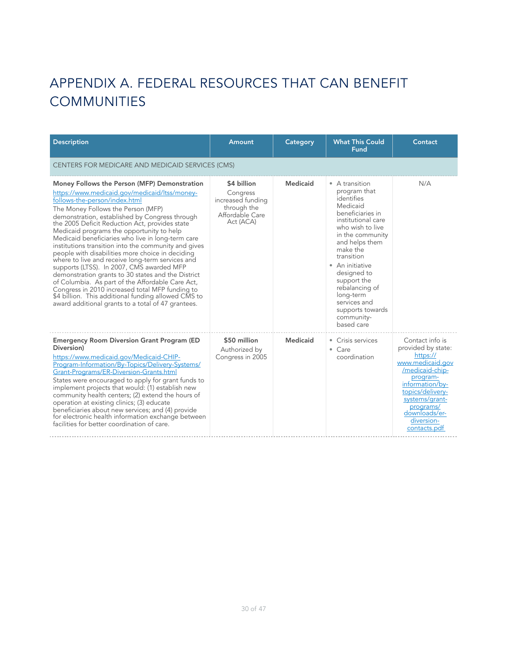# <span id="page-29-0"></span>APPENDIX A. FEDERAL RESOURCES THAT CAN BENEFIT **COMMUNITIES**

| <b>Description</b>                                                                                                                                                                                                                                                                                                                                                                                                                                                                                                                                                                                                                                                                                                                                                                                                                                                | Amount                                                                                      | Category | <b>What This Could</b><br>Fund                                                                                                                                                                                                                                                                                                         | Contact                                                                                                                                                                                                                   |  |
|-------------------------------------------------------------------------------------------------------------------------------------------------------------------------------------------------------------------------------------------------------------------------------------------------------------------------------------------------------------------------------------------------------------------------------------------------------------------------------------------------------------------------------------------------------------------------------------------------------------------------------------------------------------------------------------------------------------------------------------------------------------------------------------------------------------------------------------------------------------------|---------------------------------------------------------------------------------------------|----------|----------------------------------------------------------------------------------------------------------------------------------------------------------------------------------------------------------------------------------------------------------------------------------------------------------------------------------------|---------------------------------------------------------------------------------------------------------------------------------------------------------------------------------------------------------------------------|--|
| CENTERS FOR MEDICARE AND MEDICAID SERVICES (CMS)                                                                                                                                                                                                                                                                                                                                                                                                                                                                                                                                                                                                                                                                                                                                                                                                                  |                                                                                             |          |                                                                                                                                                                                                                                                                                                                                        |                                                                                                                                                                                                                           |  |
| Money Follows the Person (MFP) Demonstration<br>https://www.medicaid.gov/medicaid/ltss/money-<br>follows-the-person/index.html<br>The Money Follows the Person (MFP)<br>demonstration, established by Congress through<br>the 2005 Deficit Reduction Act, provides state<br>Medicaid programs the opportunity to help<br>Medicaid beneficiaries who live in long-term care<br>institutions transition into the community and gives<br>people with disabilities more choice in deciding<br>where to live and receive long-term services and<br>supports (LTSS). In 2007, CMS awarded MFP<br>demonstration grants to 30 states and the District<br>of Columbia. As part of the Affordable Care Act,<br>Congress in 2010 increased total MFP funding to<br>\$4 billion. This additional funding allowed CMS to<br>award additional grants to a total of 47 grantees. | \$4 billion<br>Congress<br>increased funding<br>through the<br>Affordable Care<br>Act (ACA) | Medicaid | • A transition<br>program that<br>identifies<br>Medicaid<br>beneficiaries in<br>institutional care<br>who wish to live<br>in the community<br>and helps them<br>make the<br>transition<br>• An initiative<br>designed to<br>support the<br>rebalancing of<br>long-term<br>services and<br>supports towards<br>community-<br>based care | N/A                                                                                                                                                                                                                       |  |
| <b>Emergency Room Diversion Grant Program (ED)</b><br>Diversion)<br>https://www.medicaid.gov/Medicaid-CHIP-<br>Program-Information/By-Topics/Delivery-Systems/<br>Grant-Programs/ER-Diversion-Grants.html<br>States were encouraged to apply for grant funds to<br>implement projects that would: (1) establish new<br>community health centers; (2) extend the hours of<br>operation at existing clinics; (3) educate<br>beneficiaries about new services; and (4) provide<br>for electronic health information exchange between<br>facilities for better coordination of care.                                                                                                                                                                                                                                                                                  | \$50 million<br>Authorized by<br>Congress in 2005                                           | Medicaid | • Crisis services<br>$\bullet$ Care<br>coordination                                                                                                                                                                                                                                                                                    | Contact info is<br>provided by state:<br>https://<br>www.medicaid.gov<br>/medicaid-chip-<br>program-<br>information/by-<br>topics/delivery-<br>systems/grant-<br>programs/<br>downloads/er-<br>diversion-<br>contacts.pdf |  |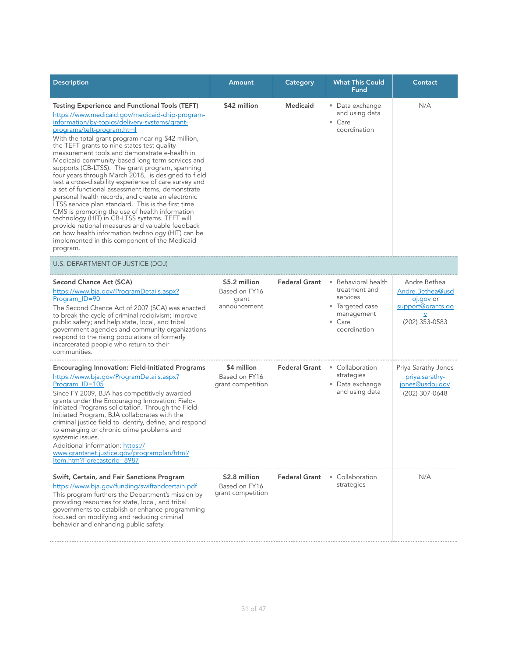| <b>Description</b>                                                                                                                                                                                                                                                                                                                                                                                                                                                                                                                                                                                                                                                                                                                                                                                                                                                                                                                                                                                           | Amount                                                  | <b>Category</b>      | <b>What This Could</b><br>Fund                                                                                      | Contact                                                                                        |
|--------------------------------------------------------------------------------------------------------------------------------------------------------------------------------------------------------------------------------------------------------------------------------------------------------------------------------------------------------------------------------------------------------------------------------------------------------------------------------------------------------------------------------------------------------------------------------------------------------------------------------------------------------------------------------------------------------------------------------------------------------------------------------------------------------------------------------------------------------------------------------------------------------------------------------------------------------------------------------------------------------------|---------------------------------------------------------|----------------------|---------------------------------------------------------------------------------------------------------------------|------------------------------------------------------------------------------------------------|
| <b>Testing Experience and Functional Tools (TEFT)</b><br>https://www.medicaid.gov/medicaid-chip-program-<br>information/by-topics/delivery-systems/grant-<br>programs/teft-program.html<br>With the total grant program nearing \$42 million,<br>the TEFT grants to nine states test quality<br>measurement tools and demonstrate e-health in<br>Medicaid community-based long term services and<br>supports (CB-LTSS). The grant program, spanning<br>four years through March 2018, is designed to field<br>test a cross-disability experience of care survey and<br>a set of functional assessment items, demonstrate<br>personal health records, and create an electronic<br>LTSS service plan standard. This is the first time<br>CMS is promoting the use of health information<br>technology (HIT) in CB-LTSS systems. TEFT will<br>provide national measures and valuable feedback<br>on how health information technology (HIT) can be<br>implemented in this component of the Medicaid<br>program. | \$42 million                                            | <b>Medicaid</b>      | • Data exchange<br>and using data<br>$\bullet$ Care<br>coordination                                                 | N/A                                                                                            |
| U.S. DEPARTMENT OF JUSTICE (DOJ)                                                                                                                                                                                                                                                                                                                                                                                                                                                                                                                                                                                                                                                                                                                                                                                                                                                                                                                                                                             |                                                         |                      |                                                                                                                     |                                                                                                |
| Second Chance Act (SCA)<br>https://www.bja.gov/ProgramDetails.aspx?<br>Program ID=90<br>The Second Chance Act of 2007 (SCA) was enacted<br>to break the cycle of criminal recidivism; improve<br>public safety; and help state, local, and tribal<br>government agencies and community organizations<br>respond to the rising populations of formerly<br>incarcerated people who return to their<br>communities.                                                                                                                                                                                                                                                                                                                                                                                                                                                                                                                                                                                             | \$5.2 million<br>Based on FY16<br>grant<br>announcement | <b>Federal Grant</b> | • Behavioral health<br>treatment and<br>services<br>• Targeted case<br>management<br>$\bullet$ Care<br>coordination | Andre Bethea<br>Andre.Bethea@usd<br>oj.gov or<br>support@grants.go<br>$\vee$<br>(202) 353-0583 |
| <b>Encouraging Innovation: Field-Initiated Programs</b><br>https://www.bja.gov/ProgramDetails.aspx?<br>Program ID=105<br>Since FY 2009, BJA has competitively awarded<br>grants under the Encouraging Innovation: Field-<br>Initiated Programs solicitation. Through the Field-<br>Initiated Program, BJA collaborates with the<br>criminal justice field to identify, define, and respond<br>to emerging or chronic crime problems and<br>systemic issues.<br>Additional information: https://<br>www.grantsnet.justice.gov/programplan/html/<br>Item.htm?ForecasterId=8987                                                                                                                                                                                                                                                                                                                                                                                                                                 | \$4 million<br>Based on FY16<br>grant competition       | <b>Federal Grant</b> | • Collaboration<br>strategies<br>• Data exchange<br>and using data                                                  | Priya Sarathy Jones<br>priya.sarathy-<br>jones@usdoj.gov<br>(202) 307-0648                     |
| Swift, Certain, and Fair Sanctions Program<br>https://www.bja.gov/funding/swiftandcertain.pdf<br>This program furthers the Department's mission by<br>providing resources for state, local, and tribal<br>governments to establish or enhance programming<br>focused on modifying and reducing criminal<br>behavior and enhancing public safety.                                                                                                                                                                                                                                                                                                                                                                                                                                                                                                                                                                                                                                                             | \$2.8 million<br>Based on FY16<br>grant competition     | <b>Federal Grant</b> | • Collaboration<br>strategies                                                                                       | N/A                                                                                            |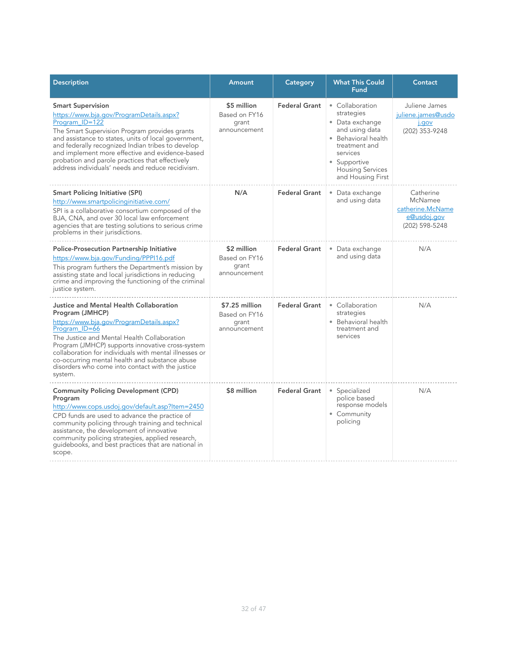| <b>Description</b>                                                                                                                                                                                                                                                                                                                                                                                              | Amount                                                   | Category             | <b>What This Could</b><br><b>Fund</b>                                                                                                                                                  | Contact                                                                   |
|-----------------------------------------------------------------------------------------------------------------------------------------------------------------------------------------------------------------------------------------------------------------------------------------------------------------------------------------------------------------------------------------------------------------|----------------------------------------------------------|----------------------|----------------------------------------------------------------------------------------------------------------------------------------------------------------------------------------|---------------------------------------------------------------------------|
| <b>Smart Supervision</b><br>https://www.bja.gov/ProgramDetails.aspx?<br>Program ID=122<br>The Smart Supervision Program provides grants<br>and assistance to states, units of local government,<br>and federally recognized Indian tribes to develop<br>and implement more effective and evidence-based<br>probation and parole practices that effectively<br>address individuals' needs and reduce recidivism. | \$5 million<br>Based on FY16<br>grant<br>announcement    | <b>Federal Grant</b> | • Collaboration<br>strategies<br>• Data exchange<br>and using data<br>• Behavioral health<br>treatment and<br>services<br>• Supportive<br><b>Housing Services</b><br>and Housing First | Juliene James<br>juliene.james@usdo<br>j.gov<br>(202) 353-9248            |
| <b>Smart Policing Initiative (SPI)</b><br>http://www.smartpolicinginitiative.com/<br>SPI is a collaborative consortium composed of the<br>BJA, CNA, and over 30 local law enforcement<br>agencies that are testing solutions to serious crime<br>problems in their jurisdictions.                                                                                                                               | N/A                                                      | <b>Federal Grant</b> | • Data exchange<br>and using data                                                                                                                                                      | Catherine<br>McNamee<br>catherine.McName<br>e@usdoj.gov<br>(202) 598-5248 |
| <b>Police-Prosecution Partnership Initiative</b><br>https://www.bja.gov/Funding/PPPI16.pdf<br>This program furthers the Department's mission by<br>assisting state and local jurisdictions in reducing<br>crime and improving the functioning of the criminal<br>justice system.                                                                                                                                | \$2 million<br>Based on FY16<br>grant<br>announcement    | <b>Federal Grant</b> | • Data exchange<br>and using data                                                                                                                                                      | N/A                                                                       |
| Justice and Mental Health Collaboration<br>Program (JMHCP)<br>https://www.bja.gov/ProgramDetails.aspx?<br>Program ID=66<br>The Justice and Mental Health Collaboration<br>Program (JMHCP) supports innovative cross-system<br>collaboration for individuals with mental illnesses or<br>co-occurring mental health and substance abuse<br>disorders who come into contact with the justice<br>system.           | \$7.25 million<br>Based on FY16<br>grant<br>announcement | <b>Federal Grant</b> | • Collaboration<br>strategies<br>• Behavioral health<br>treatment and<br>services                                                                                                      | N/A                                                                       |
| <b>Community Policing Development (CPD)</b><br>Program<br>http://www.cops.usdoj.gov/default.asp?Item=2450<br>CPD funds are used to advance the practice of<br>community policing through training and technical<br>assistance, the development of innovative<br>community policing strategies, applied research,<br>guidebooks, and best practices that are national in<br>scope.                               | \$8 million                                              | <b>Federal Grant</b> | • Specialized<br>police based<br>response models<br>• Community<br>policing                                                                                                            | N/A                                                                       |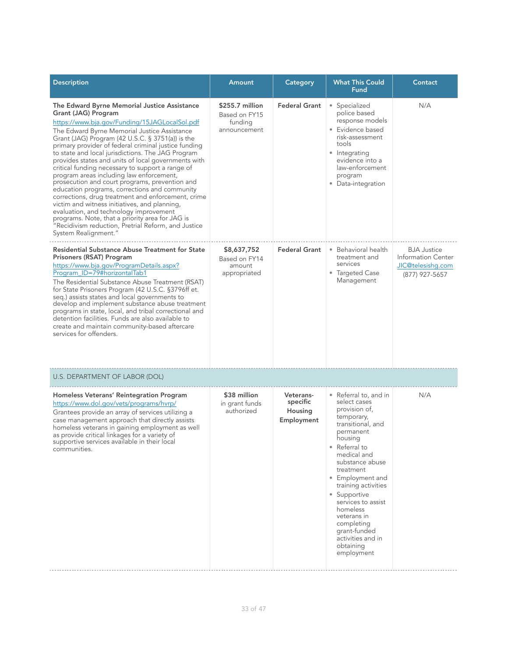| <b>Description</b>                                                                                                                                                                                                                                                                                                                                                                                                                                                                                                                                                                                                                                                                                                                                                                                                                                                                 | Amount                                                      | Category                                       | <b>What This Could</b><br><b>Fund</b>                                                                                                                                                                                                                                                                                                                                       | Contact                                                                         |
|------------------------------------------------------------------------------------------------------------------------------------------------------------------------------------------------------------------------------------------------------------------------------------------------------------------------------------------------------------------------------------------------------------------------------------------------------------------------------------------------------------------------------------------------------------------------------------------------------------------------------------------------------------------------------------------------------------------------------------------------------------------------------------------------------------------------------------------------------------------------------------|-------------------------------------------------------------|------------------------------------------------|-----------------------------------------------------------------------------------------------------------------------------------------------------------------------------------------------------------------------------------------------------------------------------------------------------------------------------------------------------------------------------|---------------------------------------------------------------------------------|
| The Edward Byrne Memorial Justice Assistance<br>Grant (JAG) Program<br>https://www.bja.gov/Funding/15JAGLocalSol.pdf<br>The Edward Byrne Memorial Justice Assistance<br>Grant (JAG) Program (42 U.S.C. § 3751(a)) is the<br>primary provider of federal criminal justice funding<br>to state and local jurisdictions. The JAG Program<br>provides states and units of local governments with<br>critical funding necessary to support a range of<br>program areas including law enforcement,<br>prosecution and court programs, prevention and<br>education programs, corrections and community<br>corrections, drug treatment and enforcement, crime<br>victim and witness initiatives, and planning,<br>evaluation, and technology improvement<br>programs. Note, that a priority area for JAG is<br>"Recidivism reduction, Pretrial Reform, and Justice<br>System Realignment." | \$255.7 million<br>Based on FY15<br>funding<br>announcement | <b>Federal Grant</b>                           | • Specialized<br>police based<br>response models<br>• Evidence based<br>risk-assessment<br>tools<br>• Integrating<br>evidence into a<br>law-enforcement<br>program<br>• Data-integration                                                                                                                                                                                    | N/A                                                                             |
| <b>Residential Substance Abuse Treatment for State</b><br>Prisoners (RSAT) Program<br>https://www.bja.gov/ProgramDetails.aspx?<br>Program ID=79#horizontalTab1<br>The Residential Substance Abuse Treatment (RSAT)<br>for State Prisoners Program (42 U.S.C. §3796ff et.<br>seq.) assists states and local governments to<br>develop and implement substance abuse treatment<br>programs in state, local, and tribal correctional and<br>detention facilities. Funds are also available to<br>create and maintain community-based aftercare<br>services for offenders.                                                                                                                                                                                                                                                                                                             | \$8,637,752<br>Based on FY14<br>amount<br>appropriated      | <b>Federal Grant</b>                           | • Behavioral health<br>treatment and<br>services<br>• Targeted Case<br>Management                                                                                                                                                                                                                                                                                           | <b>BJA Justice</b><br>Information Center<br>JIC@telesishq.com<br>(877) 927-5657 |
| U.S. DEPARTMENT OF LABOR (DOL)                                                                                                                                                                                                                                                                                                                                                                                                                                                                                                                                                                                                                                                                                                                                                                                                                                                     |                                                             |                                                |                                                                                                                                                                                                                                                                                                                                                                             |                                                                                 |
| Homeless Veterans' Reintegration Program<br>https://www.dol.gov/vets/programs/hvrp/<br>Grantees provide an array of services utilizing a<br>case management approach that directly assists<br>homeless veterans in gaining employment as well<br>as provide critical linkages for a variety of<br>supportive services available in their local<br>communities.                                                                                                                                                                                                                                                                                                                                                                                                                                                                                                                     | \$38 million<br>in grant funds<br>authorized                | Veterans-<br>specific<br>Housing<br>Employment | • Referral to, and in<br>select cases<br>provision of,<br>temporary,<br>transitional, and<br>permanent<br>housing<br>• Referral to<br>medical and<br>substance abuse<br>treatment<br>• Employment and<br>training activities<br>• Supportive<br>services to assist<br>homeless<br>veterans in<br>completing<br>grant-funded<br>activities and in<br>obtaining<br>employment | N/A                                                                             |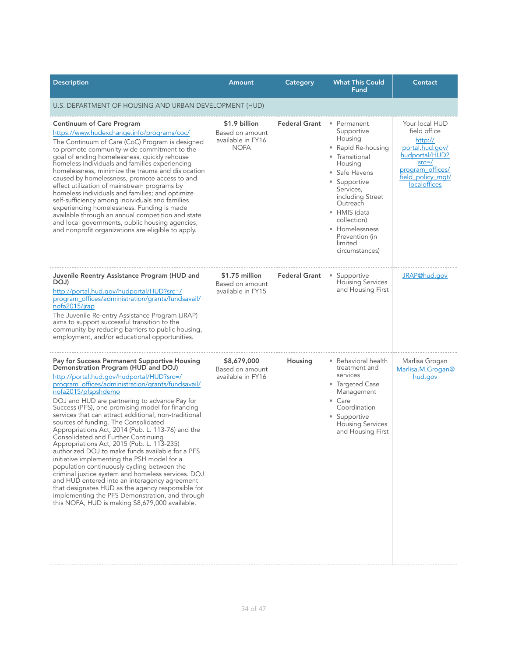| <b>Description</b>                                                                                                                                                                                                                                                                                                                                                                                                                                                                                                                                                                                                                                                                                                                                                                                                                                                                                                                                                               | Amount                                                               | Category             | <b>What This Could</b><br>Fund                                                                                                                                                                                                                                        | Contact                                                                                                                                              |
|----------------------------------------------------------------------------------------------------------------------------------------------------------------------------------------------------------------------------------------------------------------------------------------------------------------------------------------------------------------------------------------------------------------------------------------------------------------------------------------------------------------------------------------------------------------------------------------------------------------------------------------------------------------------------------------------------------------------------------------------------------------------------------------------------------------------------------------------------------------------------------------------------------------------------------------------------------------------------------|----------------------------------------------------------------------|----------------------|-----------------------------------------------------------------------------------------------------------------------------------------------------------------------------------------------------------------------------------------------------------------------|------------------------------------------------------------------------------------------------------------------------------------------------------|
| U.S. DEPARTMENT OF HOUSING AND URBAN DEVELOPMENT (HUD)                                                                                                                                                                                                                                                                                                                                                                                                                                                                                                                                                                                                                                                                                                                                                                                                                                                                                                                           |                                                                      |                      |                                                                                                                                                                                                                                                                       |                                                                                                                                                      |
| <b>Continuum of Care Program</b><br>https://www.hudexchange.info/programs/coc/<br>The Continuum of Care (CoC) Program is designed<br>to promote community-wide commitment to the<br>goal of ending homelessness, quickly rehouse<br>homeless individuals and families experiencing<br>homelessness, minimize the trauma and dislocation<br>caused by homelessness, promote access to and<br>effect utilization of mainstream programs by<br>homeless individuals and families; and optimize<br>self-sufficiency among individuals and families<br>experiencing homelessness. Funding is made<br>available through an annual competition and state<br>and local governments, public housing agencies,<br>and nonprofit organizations are eligible to apply.                                                                                                                                                                                                                       | \$1.9 billion<br>Based on amount<br>available in FY16<br><b>NOFA</b> | <b>Federal Grant</b> | • Permanent<br>Supportive<br>Housing<br>• Rapid Re-housing<br>• Transitional<br>Housing<br>• Safe Havens<br>• Supportive<br>Services,<br>including Street<br>Outreach<br>• HMIS (data<br>collection)<br>• Homelessness<br>Prevention (in<br>limited<br>circumstances) | Your local HUD<br>field office<br>http://<br>portal.hud.gov/<br>hudportal/HUD?<br>$src = /$<br>program_offices/<br>field_policy_mgt/<br>localoffices |
| Juvenile Reentry Assistance Program (HUD and<br>DOJ)<br>http://portal.hud.gov/hudportal/HUD?src=/<br>program_offices/administration/grants/fundsavail/<br>nofa2015/jrap<br>The Juvenile Re-entry Assistance Program (JRAP)<br>aims to support successful transition to the<br>community by reducing barriers to public housing,<br>employment, and/or educational opportunities.                                                                                                                                                                                                                                                                                                                                                                                                                                                                                                                                                                                                 | \$1.75 million<br>Based on amount<br>available in FY15               | <b>Federal Grant</b> | • Supportive<br><b>Housing Services</b><br>and Housing First                                                                                                                                                                                                          | JRAP@hud.gov                                                                                                                                         |
| Pay for Success Permanent Supportive Housing<br>Demonstration Program (HUD and DOJ)<br>http://portal.hud.gov/hudportal/HUD?src=/<br>program_offices/administration/grants/fundsavail/<br>nofa2015/pfspshdemo<br>DOJ and HUD are partnering to advance Pay for<br>Success (PFS), one promising model for financing<br>services that can attract additional, non-traditional<br>sources of funding. The Consolidated<br>Appropriations Act, 2014 (Pub. L. 113-76) and the<br>Consolidated and Further Continuing<br>Appropriations Act, 2015 (Pub. L. 113-235)<br>authorized DOJ to make funds available for a PFS<br>initiative implementing the PSH model for a<br>population continuously cycling between the<br>criminal justice system and homeless services. DOJ<br>and HUD entered into an interagency agreement<br>that designates HUD as the agency responsible for<br>implementing the PFS Demonstration, and through<br>this NOFA, HUD is making \$8,679,000 available. | \$8,679,000<br>Based on amount<br>available in FY16                  | Housing              | • Behavioral health<br>treatment and<br>services<br>• Targeted Case<br>Management<br>$\bullet$ Care<br>Coordination<br>• Supportive<br><b>Housing Services</b><br>and Housing First                                                                                   | Marlisa Grogan<br>Marlisa.M.Grogan@<br>hud.gov                                                                                                       |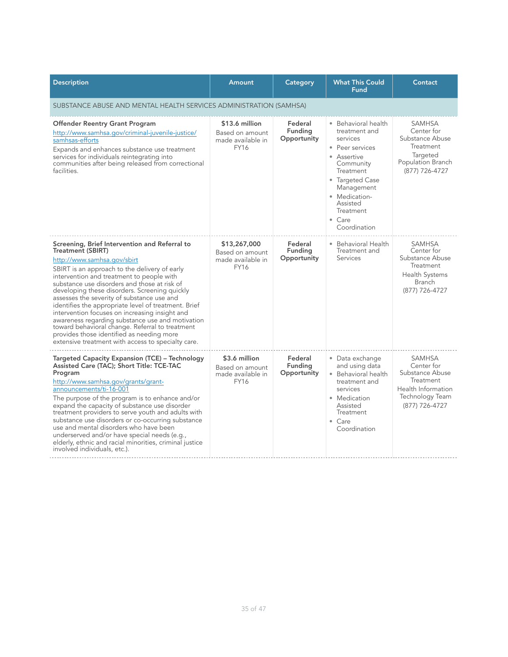| <b>Description</b>                                                                                                                                                                                                                                                                                                                                                                                                                                                                                                                                                                                                                                                        | Amount                                                                | Category                                 | <b>What This Could</b><br><b>Fund</b>                                                                                                                                                                                    | Contact                                                                                                                 |  |  |
|---------------------------------------------------------------------------------------------------------------------------------------------------------------------------------------------------------------------------------------------------------------------------------------------------------------------------------------------------------------------------------------------------------------------------------------------------------------------------------------------------------------------------------------------------------------------------------------------------------------------------------------------------------------------------|-----------------------------------------------------------------------|------------------------------------------|--------------------------------------------------------------------------------------------------------------------------------------------------------------------------------------------------------------------------|-------------------------------------------------------------------------------------------------------------------------|--|--|
|                                                                                                                                                                                                                                                                                                                                                                                                                                                                                                                                                                                                                                                                           | SUBSTANCE ABUSE AND MENTAL HEALTH SERVICES ADMINISTRATION (SAMHSA)    |                                          |                                                                                                                                                                                                                          |                                                                                                                         |  |  |
| <b>Offender Reentry Grant Program</b><br>http://www.samhsa.gov/criminal-juvenile-justice/<br>samhsas-efforts<br>Expands and enhances substance use treatment<br>services for individuals reintegrating into<br>communities after being released from correctional<br>facilities.                                                                                                                                                                                                                                                                                                                                                                                          | \$13.6 million<br>Based on amount<br>made available in<br><b>FY16</b> | Federal<br><b>Fundina</b><br>Opportunity | • Behavioral health<br>treatment and<br>services<br>• Peer services<br>• Assertive<br>Community<br>Treatment<br>• Targeted Case<br>Management<br>• Medication-<br>Assisted<br><b>Treatment</b><br>• Care<br>Coordination | <b>SAMHSA</b><br>Center for<br>Substance Abuse<br>Treatment<br>Targeted<br>Population Branch<br>(877) 726-4727          |  |  |
| Screening, Brief Intervention and Referral to<br><b>Treatment (SBIRT)</b><br>http://www.samhsa.gov/sbirt<br>SBIRT is an approach to the delivery of early<br>intervention and treatment to people with<br>substance use disorders and those at risk of<br>developing these disorders. Screening quickly<br>assesses the severity of substance use and<br>identifies the appropriate level of treatment. Brief<br>intervention focuses on increasing insight and<br>awareness regarding substance use and motivation<br>toward behavioral change. Referral to treatment<br>provides those identified as needing more<br>extensive treatment with access to specialty care. | \$13,267,000<br>Based on amount<br>made available in<br><b>FY16</b>   | Federal<br>Funding<br>Opportunity        | • Behavioral Health<br>Treatment and<br>Services                                                                                                                                                                         | <b>SAMHSA</b><br>Center for<br>Substance Abuse<br>Treatment<br><b>Health Systems</b><br><b>Branch</b><br>(877) 726-4727 |  |  |
| <b>Targeted Capacity Expansion (TCE) - Technology</b><br>Assisted Care (TAC); Short Title: TCE-TAC<br>Program<br>http://www.samhsa.gov/grants/grant-<br>announcements/ti-16-001<br>The purpose of the program is to enhance and/or<br>expand the capacity of substance use disorder<br>treatment providers to serve youth and adults with<br>substance use disorders or co-occurring substance<br>use and mental disorders who have been<br>underserved and/or have special needs (e.g.,<br>elderly, ethnic and racial minorities, criminal justice<br>involved individuals, etc.).                                                                                       | \$3.6 million<br>Based on amount<br>made available in<br><b>FY16</b>  | Federal<br>Funding<br>Opportunity        | • Data exchange<br>and using data<br>• Behavioral health<br>treatment and<br>services<br>• Medication<br>Assisted<br>Treatment<br>$\bullet$ Care<br>Coordination                                                         | <b>SAMHSA</b><br>Center for<br>Substance Abuse<br>Treatment<br>Health Information<br>Technology Team<br>(877) 726-4727  |  |  |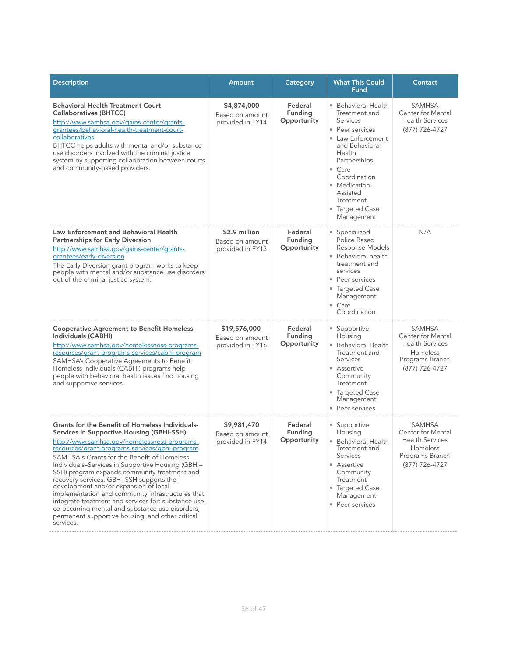| <b>Description</b>                                                                                                                                                                                                                                                                                                                                                                                                                                                                                                                                                                                                                                                        | Amount                                               | Category                          | <b>What This Could</b><br><b>Fund</b>                                                                                                                                                                                                             | Contact                                                                                                       |
|---------------------------------------------------------------------------------------------------------------------------------------------------------------------------------------------------------------------------------------------------------------------------------------------------------------------------------------------------------------------------------------------------------------------------------------------------------------------------------------------------------------------------------------------------------------------------------------------------------------------------------------------------------------------------|------------------------------------------------------|-----------------------------------|---------------------------------------------------------------------------------------------------------------------------------------------------------------------------------------------------------------------------------------------------|---------------------------------------------------------------------------------------------------------------|
| <b>Behavioral Health Treatment Court</b><br><b>Collaboratives (BHTCC)</b><br>http://www.samhsa.gov/gains-center/grants-<br>grantees/behavioral-health-treatment-court-<br>collaboratives<br>BHTCC helps adults with mental and/or substance<br>use disorders involved with the criminal justice<br>system by supporting collaboration between courts<br>and community-based providers.                                                                                                                                                                                                                                                                                    | \$4,874,000<br>Based on amount<br>provided in FY14   | Federal<br>Funding<br>Opportunity | · Behavioral Health<br>Treatment and<br>Services<br>• Peer services<br>• Law Enforcement<br>and Behavioral<br>Health<br>Partnerships<br>$\bullet$ Care<br>Coordination<br>• Medication-<br>Assisted<br>Treatment<br>• Targeted Case<br>Management | <b>SAMHSA</b><br>Center for Mental<br><b>Health Services</b><br>(877) 726-4727                                |
| Law Enforcement and Behavioral Health<br><b>Partnerships for Early Diversion</b><br>http://www.samhsa.gov/gains-center/grants-<br>grantees/early-diversion<br>The Early Diversion grant program works to keep<br>people with mental and/or substance use disorders<br>out of the criminal justice system.                                                                                                                                                                                                                                                                                                                                                                 | \$2.9 million<br>Based on amount<br>provided in FY13 | Federal<br>Funding<br>Opportunity | · Specialized<br>Police Based<br>Response Models<br>• Behavioral health<br>treatment and<br>services<br>• Peer services<br>• Targeted Case<br>Management<br>$\bullet$ Care<br>Coordination                                                        | N/A                                                                                                           |
| <b>Cooperative Agreement to Benefit Homeless</b><br>Individuals (CABHI)<br>http://www.samhsa.gov/homelessness-programs-<br>resources/grant-programs-services/cabhi-program<br>SAMHSA's Cooperative Agreements to Benefit<br>Homeless Individuals (CABHI) programs help<br>people with behavioral health issues find housing<br>and supportive services.                                                                                                                                                                                                                                                                                                                   | \$19,576,000<br>Based on amount<br>provided in FY16  | Federal<br>Funding<br>Opportunity | • Supportive<br>Housing<br>• Behavioral Health<br>Treatment and<br>Services<br>• Assertive<br>Community<br>Treatment<br>• Targeted Case<br>Management<br>• Peer services                                                                          | <b>SAMHSA</b><br>Center for Mental<br><b>Health Services</b><br>Homeless<br>Programs Branch<br>(877) 726-4727 |
| Grants for the Benefit of Homeless Individuals-<br>Services in Supportive Housing (GBHI-SSH)<br>http://www.samhsa.gov/homelessness-programs-<br>resources/grant-programs-services/gbhi-program<br>SAMHSA's Grants for the Benefit of Homeless<br>Individuals-Services in Supportive Housing (GBHI-<br>SSH) program expands community treatment and<br>recovery services. GBHI-SSH supports the<br>development and/or expansion of local<br>implementation and community infrastructures that<br>integrate treatment and services for: substance use,<br>co-occurring mental and substance use disorders,<br>permanent supportive housing, and other critical<br>services. | \$9,981,470<br>Based on amount<br>provided in FY14   | Federal<br>Funding<br>Opportunity | • Supportive<br>Housing<br>• Behavioral Health<br>Treatment and<br>Services<br>• Assertive<br>Community<br>Treatment<br>• Targeted Case<br>Management<br>• Peer services                                                                          | <b>SAMHSA</b><br>Center for Mental<br><b>Health Services</b><br>Homeless<br>Programs Branch<br>(877) 726-4727 |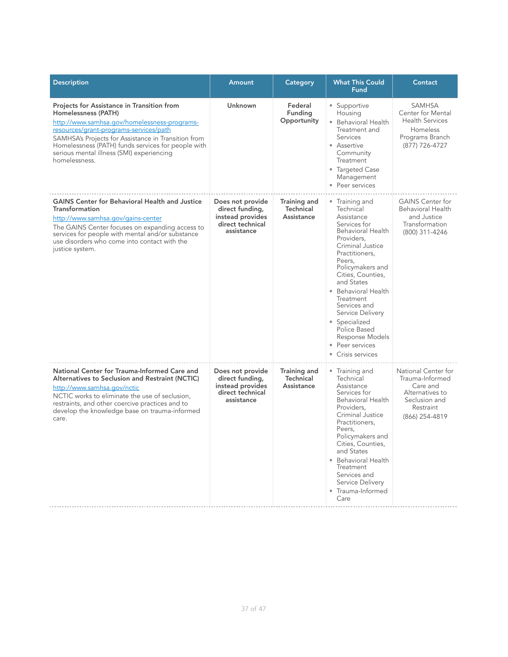| <b>Description</b>                                                                                                                                                                                                                                                                                                                     | <b>Amount</b>                                                                             | Category                                       | <b>What This Could</b><br><b>Fund</b>                                                                                                                                                                                                                                                                                                                                        | Contact                                                                                                               |
|----------------------------------------------------------------------------------------------------------------------------------------------------------------------------------------------------------------------------------------------------------------------------------------------------------------------------------------|-------------------------------------------------------------------------------------------|------------------------------------------------|------------------------------------------------------------------------------------------------------------------------------------------------------------------------------------------------------------------------------------------------------------------------------------------------------------------------------------------------------------------------------|-----------------------------------------------------------------------------------------------------------------------|
| Projects for Assistance in Transition from<br>Homelessness (PATH)<br>http://www.samhsa.gov/homelessness-programs-<br>resources/grant-programs-services/path<br>SAMHSA's Projects for Assistance in Transition from<br>Homelessness (PATH) funds services for people with<br>serious mental illness (SMI) experiencing<br>homelessness. | Unknown                                                                                   | Federal<br>Funding<br>Opportunity              | • Supportive<br>Housing<br>• Behavioral Health<br>Treatment and<br><b>Services</b><br>• Assertive<br>Community<br>Treatment<br>• Targeted Case<br>Management<br>• Peer services                                                                                                                                                                                              | <b>SAMHSA</b><br>Center for Mental<br><b>Health Services</b><br>Homeless<br>Programs Branch<br>(877) 726-4727         |
| <b>GAINS Center for Behavioral Health and Justice</b><br>Transformation<br>http://www.samhsa.gov/gains-center<br>The GAINS Center focuses on expanding access to<br>services for people with mental and/or substance<br>use disorders who come into contact with the<br>justice system.                                                | Does not provide<br>direct funding,<br>instead provides<br>direct technical<br>assistance | Training and<br><b>Technical</b><br>Assistance | Training and<br>Technical<br>Assistance<br>Services for<br><b>Behavioral Health</b><br>Providers.<br>Criminal Justice<br>Practitioners.<br>Peers.<br>Policymakers and<br>Cities, Counties,<br>and States<br>• Behavioral Health<br>Treatment<br>Services and<br>Service Delivery<br>• Specialized<br>Police Based<br>Response Models<br>• Peer services<br>• Crisis services | <b>GAINS Center for</b><br><b>Behavioral Health</b><br>and Justice<br>Transformation<br>(800) 311-4246                |
| National Center for Trauma-Informed Care and<br>Alternatives to Seclusion and Restraint (NCTIC)<br>http://www.samhsa.gov/nctic<br>NCTIC works to eliminate the use of seclusion,<br>restraints, and other coercive practices and to<br>develop the knowledge base on trauma-informed<br>care.                                          | Does not provide<br>direct funding,<br>instead provides<br>direct technical<br>assistance | Training and<br><b>Technical</b><br>Assistance | • Training and<br>Technical<br>Assistance<br>Services for<br><b>Behavioral Health</b><br>Providers,<br>Criminal Justice<br>Practitioners.<br>Peers,<br>Policymakers and<br>Cities, Counties,<br>and States<br>• Behavioral Health<br>Treatment<br>Services and<br>Service Delivery<br>· Trauma-Informed<br>Care                                                              | National Center for<br>Trauma-Informed<br>Care and<br>Alternatives to<br>Seclusion and<br>Restraint<br>(866) 254-4819 |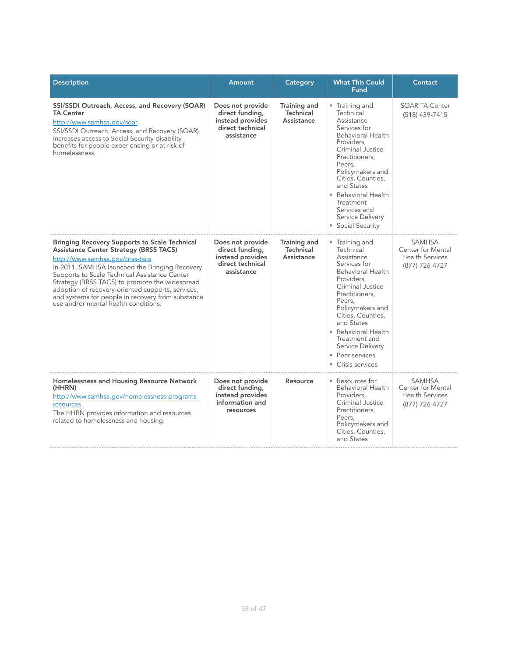| <b>Description</b>                                                                                                                                                                                                                                                                                                                                                                                                                              | Amount                                                                                    | Category                                       | <b>What This Could</b><br><b>Fund</b>                                                                                                                                                                                                                                                                          | Contact                                                                        |
|-------------------------------------------------------------------------------------------------------------------------------------------------------------------------------------------------------------------------------------------------------------------------------------------------------------------------------------------------------------------------------------------------------------------------------------------------|-------------------------------------------------------------------------------------------|------------------------------------------------|----------------------------------------------------------------------------------------------------------------------------------------------------------------------------------------------------------------------------------------------------------------------------------------------------------------|--------------------------------------------------------------------------------|
| SSI/SSDI Outreach, Access, and Recovery (SOAR)<br><b>TA Center</b><br>http://www.samhsa.gov/soar<br>SSI/SSDI Outreach, Access, and Recovery (SOAR)<br>increases access to Social Security disability<br>benefits for people experiencing or at risk of<br>homelessness.                                                                                                                                                                         | Does not provide<br>direct funding,<br>instead provides<br>direct technical<br>assistance | <b>Training and</b><br>Technical<br>Assistance | • Training and<br>Technical<br>Assistance<br>Services for<br>Behavioral Health<br>Providers.<br>Criminal Justice<br>Practitioners.<br>Peers.<br>Policymakers and<br>Cities, Counties,<br>and States<br>• Behavioral Health<br>Treatment<br>Services and<br>Service Delivery<br>• Social Security               | <b>SOAR TA Center</b><br>(518) 439-7415                                        |
| <b>Bringing Recovery Supports to Scale Technical</b><br><b>Assistance Center Strategy (BRSS TACS)</b><br>http://www.samhsa.gov/brss-tacs<br>In 2011, SAMHSA launched the Bringing Recovery<br>Supports to Scale Technical Assistance Center<br>Strategy (BRSS TACS) to promote the widespread<br>adoption of recovery-oriented supports, services,<br>and systems for people in recovery from substance<br>use and/or mental health conditions. | Does not provide<br>direct funding,<br>instead provides<br>direct technical<br>assistance | Training and<br><b>Technical</b><br>Assistance | • Training and<br>Technical<br>Assistance<br>Services for<br><b>Behavioral Health</b><br>Providers.<br>Criminal Justice<br>Practitioners,<br>Peers,<br>Policymakers and<br>Cities, Counties,<br>and States<br>• Behavioral Health<br>Treatment and<br>Service Delivery<br>• Peer services<br>• Crisis services | <b>SAMHSA</b><br>Center for Mental<br><b>Health Services</b><br>(877) 726-4727 |
| Homelessness and Housing Resource Network<br>(HHRN)<br>http://www.samhsa.gov/homelessness-programs-<br>resources<br>The HHRN provides information and resources<br>related to homelessness and housing.                                                                                                                                                                                                                                         | Does not provide<br>direct funding,<br>instead provides<br>information and<br>resources   | Resource                                       | • Resources for<br>Behavioral Health<br>Providers,<br>Criminal Justice<br>Practitioners.<br>Peers,<br>Policymakers and<br>Cities, Counties,<br>and States                                                                                                                                                      | <b>SAMHSA</b><br>Center for Mental<br><b>Health Services</b><br>(877) 726-4727 |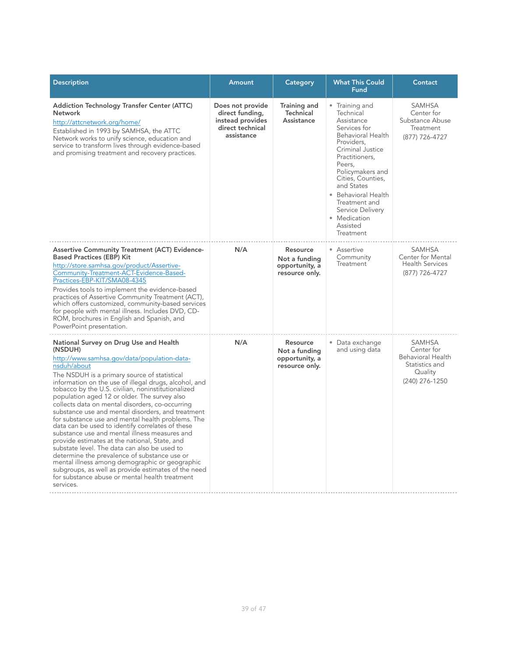| <b>Description</b>                                                                                                                                                                                                                                                                                                                                                                                                                                                                                                                                                                                                                                                                                                                                                                                                                                                                                                        | <b>Amount</b>                                                                             | Category                                                      | <b>What This Could</b><br>Fund                                                                                                                                                                                                                                                                                  | Contact                                                                                         |
|---------------------------------------------------------------------------------------------------------------------------------------------------------------------------------------------------------------------------------------------------------------------------------------------------------------------------------------------------------------------------------------------------------------------------------------------------------------------------------------------------------------------------------------------------------------------------------------------------------------------------------------------------------------------------------------------------------------------------------------------------------------------------------------------------------------------------------------------------------------------------------------------------------------------------|-------------------------------------------------------------------------------------------|---------------------------------------------------------------|-----------------------------------------------------------------------------------------------------------------------------------------------------------------------------------------------------------------------------------------------------------------------------------------------------------------|-------------------------------------------------------------------------------------------------|
| <b>Addiction Technology Transfer Center (ATTC)</b><br><b>Network</b><br>http://attcnetwork.org/home/<br>Established in 1993 by SAMHSA, the ATTC<br>Network works to unify science, education and<br>service to transform lives through evidence-based<br>and promising treatment and recovery practices.                                                                                                                                                                                                                                                                                                                                                                                                                                                                                                                                                                                                                  | Does not provide<br>direct funding,<br>instead provides<br>direct technical<br>assistance | Training and<br><b>Technical</b><br>Assistance                | • Training and<br>Technical<br>Assistance<br>Services for<br><b>Behavioral Health</b><br>Providers.<br>Criminal Justice<br>Practitioners.<br>Peers.<br>Policymakers and<br>Cities, Counties,<br>and States<br>• Behavioral Health<br>Treatment and<br>Service Delivery<br>• Medication<br>Assisted<br>Treatment | SAMHSA<br>Center for<br>Substance Abuse<br>Treatment<br>(877) 726-4727                          |
| <b>Assertive Community Treatment (ACT) Evidence-</b><br><b>Based Practices (EBP) Kit</b><br>http://store.samhsa.gov/product/Assertive-<br>Community-Treatment-ACT-Evidence-Based-<br>Practices-EBP-KIT/SMA08-4345<br>Provides tools to implement the evidence-based<br>practices of Assertive Community Treatment (ACT),<br>which offers customized, community-based services<br>for people with mental illness. Includes DVD, CD-<br>ROM, brochures in English and Spanish, and<br>PowerPoint presentation.                                                                                                                                                                                                                                                                                                                                                                                                              | N/A                                                                                       | Resource<br>Not a funding<br>opportunity, a<br>resource only. | • Assertive<br>Community<br>Treatment                                                                                                                                                                                                                                                                           | <b>SAMHSA</b><br>Center for Mental<br><b>Health Services</b><br>(877) 726-4727                  |
| National Survey on Drug Use and Health<br>(NSDUH)<br>http://www.samhsa.gov/data/population-data-<br>nsduh/about<br>The NSDUH is a primary source of statistical<br>information on the use of illegal drugs, alcohol, and<br>tobacco by the U.S. civilian, noninstitutionalized<br>population aged 12 or older. The survey also<br>collects data on mental disorders, co-occurring<br>substance use and mental disorders, and treatment<br>for substance use and mental health problems. The<br>data can be used to identify correlates of these<br>substance use and mental illness measures and<br>provide estimates at the national, State, and<br>substate level. The data can also be used to<br>determine the prevalence of substance use or<br>mental illness among demographic or geographic<br>subgroups, as well as provide estimates of the need<br>for substance abuse or mental health treatment<br>services. | N/A                                                                                       | Resource<br>Not a funding<br>opportunity, a<br>resource only. | • Data exchange<br>and using data                                                                                                                                                                                                                                                                               | <b>SAMHSA</b><br>Center for<br>Behavioral Health<br>Statistics and<br>Quality<br>(240) 276-1250 |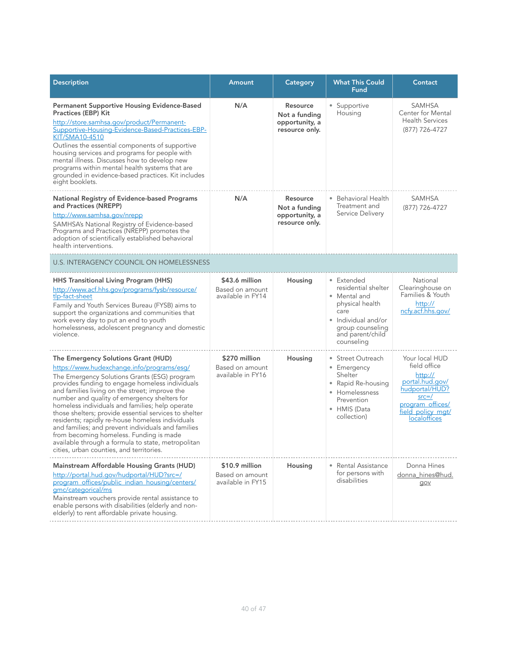| <b>Description</b>                                                                                                                                                                                                                                                                                                                                                                                                                                                                                                                                                                                                                                        | Amount                                                 | Category                                                      | <b>What This Could</b><br><b>Fund</b>                                                                                                                     | Contact                                                                                                                                              |
|-----------------------------------------------------------------------------------------------------------------------------------------------------------------------------------------------------------------------------------------------------------------------------------------------------------------------------------------------------------------------------------------------------------------------------------------------------------------------------------------------------------------------------------------------------------------------------------------------------------------------------------------------------------|--------------------------------------------------------|---------------------------------------------------------------|-----------------------------------------------------------------------------------------------------------------------------------------------------------|------------------------------------------------------------------------------------------------------------------------------------------------------|
| <b>Permanent Supportive Housing Evidence-Based</b><br><b>Practices (EBP) Kit</b><br>http://store.samhsa.gov/product/Permanent-<br>Supportive-Housing-Evidence-Based-Practices-EBP-<br>KIT/SMA10-4510<br>Outlines the essential components of supportive<br>housing services and programs for people with<br>mental illness. Discusses how to develop new<br>programs within mental health systems that are<br>grounded in evidence-based practices. Kit includes<br>eight booklets.                                                                                                                                                                       | N/A                                                    | Resource<br>Not a funding<br>opportunity, a<br>resource only. | • Supportive<br>Housing                                                                                                                                   | <b>SAMHSA</b><br>Center for Mental<br><b>Health Services</b><br>(877) 726-4727                                                                       |
| National Registry of Evidence-based Programs<br>and Practices (NREPP)<br>http://www.samhsa.gov/nrepp<br>SAMHSA's National Registry of Evidence-based<br>Programs and Practices (NREPP) promotes the<br>adoption of scientifically established behavioral<br>health interventions.                                                                                                                                                                                                                                                                                                                                                                         | N/A                                                    | Resource<br>Not a funding<br>opportunity, a<br>resource only. | • Behavioral Health<br>Treatment and<br>Service Delivery                                                                                                  | <b>SAMHSA</b><br>(877) 726-4727                                                                                                                      |
| <b>U.S. INTERAGENCY COUNCIL ON HOMELESSNESS</b>                                                                                                                                                                                                                                                                                                                                                                                                                                                                                                                                                                                                           |                                                        |                                                               |                                                                                                                                                           |                                                                                                                                                      |
| HHS Transitional Living Program (HHS)<br>http://www.acf.hhs.gov/programs/fysb/resource/<br>tlp-fact-sheet<br>Family and Youth Services Bureau (FYSB) aims to<br>support the organizations and communities that<br>work every day to put an end to youth<br>homelessness, adolescent pregnancy and domestic<br>violence.                                                                                                                                                                                                                                                                                                                                   | \$43.6 million<br>Based on amount<br>available in FY14 | Housing                                                       | • Extended<br>residential shelter<br>• Mental and<br>physical health<br>care<br>• Individual and/or<br>group counseling<br>and parent/child<br>counseling | National<br>Clearinghouse on<br>Families & Youth<br>http://<br>ncfy.acf.hhs.gov/                                                                     |
| The Emergency Solutions Grant (HUD)<br>https://www.hudexchange.info/programs/esg/<br>The Emergency Solutions Grants (ESG) program<br>provides funding to engage homeless individuals<br>and families living on the street; improve the<br>number and quality of emergency shelters for<br>homeless individuals and families; help operate<br>those shelters; provide essential services to shelter<br>residents; rapidly re-house homeless individuals<br>and families; and prevent individuals and families<br>from becoming homeless. Funding is made<br>available through a formula to state, metropolitan<br>cities, urban counties, and territories. | \$270 million<br>Based on amount<br>available in FY16  | Housing                                                       | • Street Outreach<br>• Emergency<br>Shelter<br>• Rapid Re-housing<br>• Homelessness<br>Prevention<br>• HMIS (Data<br>collection)                          | Your local HUD<br>field office<br>http://<br>portal.hud.gov/<br>hudportal/HUD?<br>$src = /$<br>program offices/<br>field policy mat/<br>localoffices |
| Mainstream Affordable Housing Grants (HUD)<br>http://portal.hud.gov/hudportal/HUD?src=/<br>program_offices/public_indian_housing/centers/<br>gmc/categorical/ms<br>Mainstream vouchers provide rental assistance to<br>enable persons with disabilities (elderly and non-<br>elderly) to rent affordable private housing.                                                                                                                                                                                                                                                                                                                                 | \$10.9 million<br>Based on amount<br>available in FY15 | Housing                                                       | • Rental Assistance<br>for persons with<br>disabilities                                                                                                   | Donna Hines<br>donna_hines@hud.<br>gov                                                                                                               |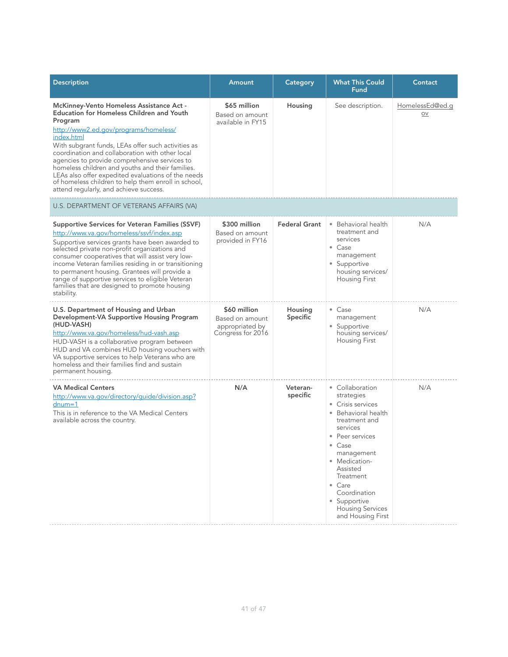| <b>Description</b>                                                                                                                                                                                                                                                                                                                                                                                                                                                                                                                         | Amount                                                                  | Category             | <b>What This Could</b><br>Fund                                                                                                                                                                                                                                                        | Contact               |  |  |
|--------------------------------------------------------------------------------------------------------------------------------------------------------------------------------------------------------------------------------------------------------------------------------------------------------------------------------------------------------------------------------------------------------------------------------------------------------------------------------------------------------------------------------------------|-------------------------------------------------------------------------|----------------------|---------------------------------------------------------------------------------------------------------------------------------------------------------------------------------------------------------------------------------------------------------------------------------------|-----------------------|--|--|
| <b>McKinney-Vento Homeless Assistance Act -</b><br><b>Education for Homeless Children and Youth</b><br>Program<br>http://www2.ed.gov/programs/homeless/<br>index.html<br>With subgrant funds, LEAs offer such activities as<br>coordination and collaboration with other local<br>agencies to provide comprehensive services to<br>homeless children and youths and their families.<br>LEAs also offer expedited evaluations of the needs<br>of homeless children to help them enroll in school,<br>attend regularly, and achieve success. | \$65 million<br>Based on amount<br>available in FY15                    | Housing              | See description.                                                                                                                                                                                                                                                                      | HomelessEd@ed.g<br>OV |  |  |
| U.S. DEPARTMENT OF VETERANS AFFAIRS (VA)                                                                                                                                                                                                                                                                                                                                                                                                                                                                                                   |                                                                         |                      |                                                                                                                                                                                                                                                                                       |                       |  |  |
| <b>Supportive Services for Veteran Families (SSVF)</b><br>http://www.va.gov/homeless/ssvf/index.asp<br>Supportive services grants have been awarded to<br>selected private non-profit organizations and<br>consumer cooperatives that will assist very low-<br>income Veteran families residing in or transitioning<br>to permanent housing. Grantees will provide a<br>range of supportive services to eligible Veteran<br>families that are designed to promote housing<br>stability.                                                    | \$300 million<br>Based on amount<br>provided in FY16                    | <b>Federal Grant</b> | • Behavioral health<br>treatment and<br>services<br>• Case<br>management<br>• Supportive<br>housing services/<br><b>Housing First</b>                                                                                                                                                 | N/A                   |  |  |
| U.S. Department of Housing and Urban<br>Development-VA Supportive Housing Program<br>(HUD-VASH)<br>http://www.va.gov/homeless/hud-vash.asp<br>HUD-VASH is a collaborative program between<br>HUD and VA combines HUD housing vouchers with<br>VA supportive services to help Veterans who are<br>homeless and their families find and sustain<br>permanent housing.                                                                                                                                                                        | \$60 million<br>Based on amount<br>appropriated by<br>Congress for 2016 | Housing<br>Specific  | • Case<br>management<br>• Supportive<br>housing services/<br>Housing First                                                                                                                                                                                                            | N/A                   |  |  |
| <b>VA Medical Centers</b><br>http://www.va.gov/directory/guide/division.asp?<br>$d$ num=1<br>This is in reference to the VA Medical Centers<br>available across the country.                                                                                                                                                                                                                                                                                                                                                               | N/A                                                                     | Veteran-<br>specific | • Collaboration<br>strategies<br>• Crisis services<br>• Behavioral health<br>treatment and<br>services<br>• Peer services<br>• Case<br>management<br>• Medication-<br>Assisted<br>Treatment<br>• Care<br>Coordination<br>• Supportive<br><b>Housing Services</b><br>and Housing First | N/A                   |  |  |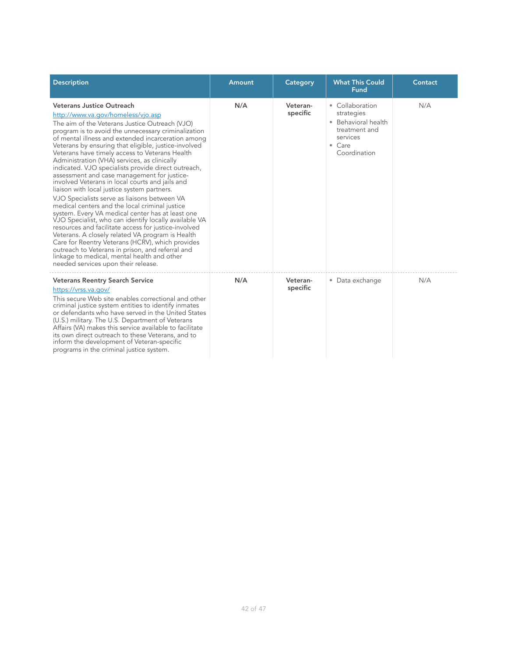| <b>Description</b>                                                                                                                                                                                                                                                                                                                                                                                                                                                                                                                                                                                                                                                                                                                                                                                                                                                                                                                                                                                                                                                                                                        | Amount | Category             | <b>What This Could</b><br><b>Fund</b>                                                                               | Contact |
|---------------------------------------------------------------------------------------------------------------------------------------------------------------------------------------------------------------------------------------------------------------------------------------------------------------------------------------------------------------------------------------------------------------------------------------------------------------------------------------------------------------------------------------------------------------------------------------------------------------------------------------------------------------------------------------------------------------------------------------------------------------------------------------------------------------------------------------------------------------------------------------------------------------------------------------------------------------------------------------------------------------------------------------------------------------------------------------------------------------------------|--------|----------------------|---------------------------------------------------------------------------------------------------------------------|---------|
| Veterans Justice Outreach<br>http://www.va.gov/homeless/vjo.asp<br>The aim of the Veterans Justice Outreach (VJO)<br>program is to avoid the unnecessary criminalization<br>of mental illness and extended incarceration among<br>Veterans by ensuring that eligible, justice-involved<br>Veterans have timely access to Veterans Health<br>Administration (VHA) services, as clinically<br>indicated. VJO specialists provide direct outreach,<br>assessment and case management for justice-<br>involved Veterans in local courts and jails and<br>liaison with local justice system partners.<br>VJO Specialists serve as liaisons between VA<br>medical centers and the local criminal justice<br>system. Every VA medical center has at least one<br>VJO Specialist, who can identify locally available VA<br>resources and facilitate access for justice-involved<br>Veterans. A closely related VA program is Health<br>Care for Reentry Veterans (HCRV), which provides<br>outreach to Veterans in prison, and referral and<br>linkage to medical, mental health and other<br>needed services upon their release. | N/A    | Veteran-<br>specific | • Collaboration<br>strategies<br>• Behavioral health<br>treatment and<br>services<br>$\bullet$ Care<br>Coordination | N/A     |
| <b>Veterans Reentry Search Service</b><br>https://vrss.va.gov/<br>This secure Web site enables correctional and other<br>criminal justice system entities to identify inmates<br>or defendants who have served in the United States<br>(U.S.) military. The U.S. Department of Veterans<br>Affairs (VA) makes this service available to facilitate<br>its own direct outreach to these Veterans, and to<br>inform the development of Veteran-specific<br>programs in the criminal justice system.                                                                                                                                                                                                                                                                                                                                                                                                                                                                                                                                                                                                                         | N/A    | Veteran-<br>specific | • Data exchange                                                                                                     | N/A     |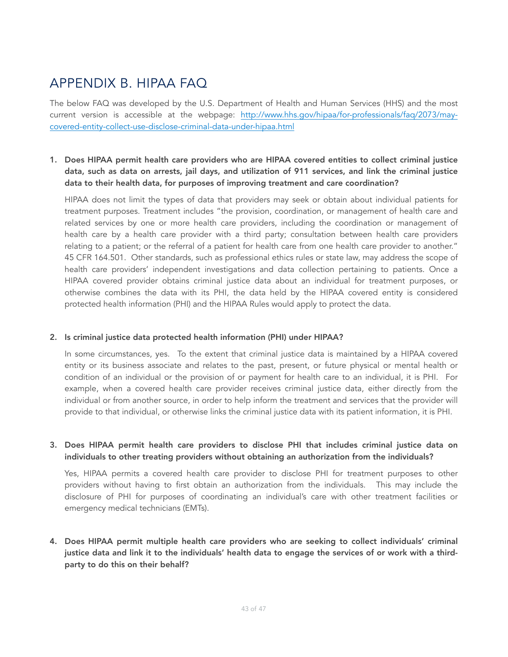# <span id="page-42-0"></span>APPENDIX B. HIPAA FAQ

The below FAQ was developed by the U.S. Department of Health and Human Services (HHS) and the most [current version is accessible at the webpage: http://www.hhs.gov/hipaa/for-professionals/faq/2073/may](http://www.hhs.gov/hipaa/for-professionals/faq/2073/may-covered-entity-collect-use-disclose-criminal-data-under-hipaa.html)[covered-entity-collect-use-disclose-criminal-data-under-hipaa.html](http://www.hhs.gov/hipaa/for-professionals/faq/2073/may-covered-entity-collect-use-disclose-criminal-data-under-hipaa.html) 

# 1. Does HIPAA permit health care providers who are HIPAA covered entities to collect criminal justice data, such as data on arrests, jail days, and utilization of 911 services, and link the criminal justice data to their health data, for purposes of improving treatment and care coordination?

HIPAA does not limit the types of data that providers may seek or obtain about individual patients for treatment purposes. Treatment includes "the provision, coordination, or management of health care and related services by one or more health care providers, including the coordination or management of health care by a health care provider with a third party; consultation between health care providers relating to a patient; or the referral of a patient for health care from one health care provider to another." 45 CFR 164.501. Other standards, such as professional ethics rules or state law, may address the scope of health care providers' independent investigations and data collection pertaining to patients. Once a HIPAA covered provider obtains criminal justice data about an individual for treatment purposes, or otherwise combines the data with its PHI, the data held by the HIPAA covered entity is considered protected health information (PHI) and the HIPAA Rules would apply to protect the data.

#### 2. Is criminal justice data protected health information (PHI) under HIPAA?

In some circumstances, yes. To the extent that criminal justice data is maintained by a HIPAA covered entity or its business associate and relates to the past, present, or future physical or mental health or condition of an individual or the provision of or payment for health care to an individual, it is PHI. For example, when a covered health care provider receives criminal justice data, either directly from the individual or from another source, in order to help inform the treatment and services that the provider will provide to that individual, or otherwise links the criminal justice data with its patient information, it is PHI.

### 3. Does HIPAA permit health care providers to disclose PHI that includes criminal justice data on individuals to other treating providers without obtaining an authorization from the individuals?

Yes, HIPAA permits a covered health care provider to disclose PHI for treatment purposes to other providers without having to first obtain an authorization from the individuals. This may include the disclosure of PHI for purposes of coordinating an individual's care with other treatment facilities or emergency medical technicians (EMTs).

# 4. Does HIPAA permit multiple health care providers who are seeking to collect individuals' criminal justice data and link it to the individuals' health data to engage the services of or work with a thirdparty to do this on their behalf?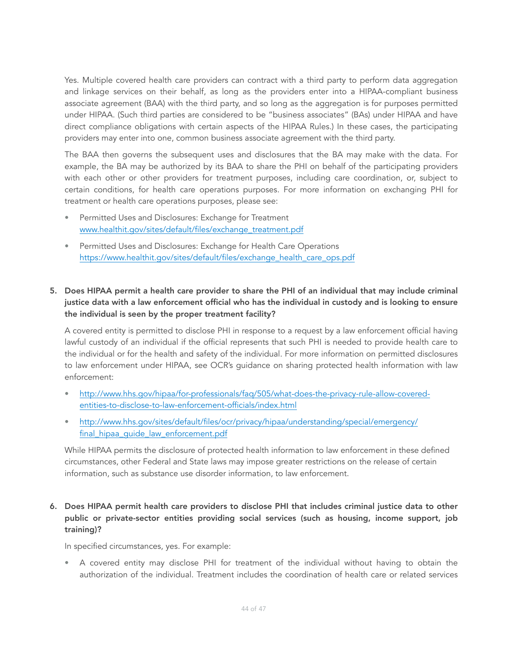Yes. Multiple covered health care providers can contract with a third party to perform data aggregation and linkage services on their behalf, as long as the providers enter into a HIPAA-compliant business associate agreement (BAA) with the third party, and so long as the aggregation is for purposes permitted under HIPAA. (Such third parties are considered to be "business associates" (BAs) under HIPAA and have direct compliance obligations with certain aspects of the HIPAA Rules.) In these cases, the participating providers may enter into one, common business associate agreement with the third party.

The BAA then governs the subsequent uses and disclosures that the BA may make with the data. For example, the BA may be authorized by its BAA to share the PHI on behalf of the participating providers with each other or other providers for treatment purposes, including care coordination, or, subject to certain conditions, for health care operations purposes. For more information on exchanging PHI for treatment or health care operations purposes, please see:

- Permitted Uses and Disclosures: Exchange for Treatment [www.healthit.gov/sites/default/files/exchange\\_treatment.pdf](http://www.healthit.gov/sites/default/files/exchange_treatment.pdf)
- Permitted Uses and Disclosures: Exchange for Health Care Operations [https://www.healthit.gov/sites/default/files/exchange\\_health\\_care\\_ops.pdf](https://www.healthit.gov/sites/default/files/exchange_health_care_ops.pdf)

### 5. Does HIPAA permit a health care provider to share the PHI of an individual that may include criminal justice data with a law enforcement official who has the individual in custody and is looking to ensure the individual is seen by the proper treatment facility?

A covered entity is permitted to disclose PHI in response to a request by a law enforcement official having lawful custody of an individual if the official represents that such PHI is needed to provide health care to the individual or for the health and safety of the individual. For more information on permitted disclosures to law enforcement under HIPAA, see OCR's guidance on sharing protected health information with law enforcement:

- [http://www.hhs.gov/hipaa/for-professionals/faq/505/what-does-the-privacy-rule-allow-covered](http://www.hhs.gov/hipaa/for-professionals/faq/505/what-does-the-privacy-rule-allow-covered-entities-to-disclose-to-law-enforcement-officials/index.html)[entities-to-disclose-to-law-enforcement-officials/index.html](http://www.hhs.gov/hipaa/for-professionals/faq/505/what-does-the-privacy-rule-allow-covered-entities-to-disclose-to-law-enforcement-officials/index.html)
- [http://www.hhs.gov/sites/default/files/ocr/privacy/hipaa/understanding/special/emergency/](http://www.hhs.gov/sites/default/files/ocr/privacy/hipaa/understanding/special/emergency/final_hipaa_guide_law_enforcement.pdf) [final\\_hipaa\\_guide\\_law\\_enforcement.pdf](http://www.hhs.gov/sites/default/files/ocr/privacy/hipaa/understanding/special/emergency/final_hipaa_guide_law_enforcement.pdf)

While HIPAA permits the disclosure of protected health information to law enforcement in these defined circumstances, other Federal and State laws may impose greater restrictions on the release of certain information, such as substance use disorder information, to law enforcement.

# 6. Does HIPAA permit health care providers to disclose PHI that includes criminal justice data to other public or private-sector entities providing social services (such as housing, income support, job training)?

In specified circumstances, yes. For example:

• A covered entity may disclose PHI for treatment of the individual without having to obtain the authorization of the individual. Treatment includes the coordination of health care or related services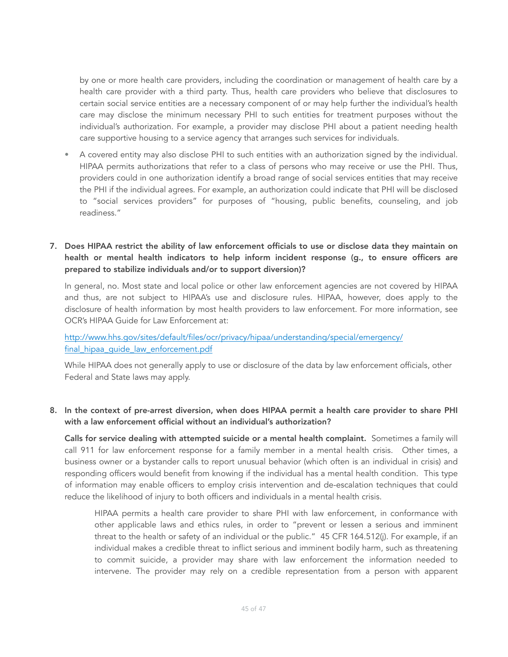by one or more health care providers, including the coordination or management of health care by a health care provider with a third party. Thus, health care providers who believe that disclosures to certain social service entities are a necessary component of or may help further the individual's health care may disclose the minimum necessary PHI to such entities for treatment purposes without the individual's authorization. For example, a provider may disclose PHI about a patient needing health care supportive housing to a service agency that arranges such services for individuals.

- A covered entity may also disclose PHI to such entities with an authorization signed by the individual. HIPAA permits authorizations that refer to a class of persons who may receive or use the PHI. Thus, providers could in one authorization identify a broad range of social services entities that may receive the PHI if the individual agrees. For example, an authorization could indicate that PHI will be disclosed to "social services providers" for purposes of "housing, public benefits, counseling, and job readiness."
- 7. Does HIPAA restrict the ability of law enforcement officials to use or disclose data they maintain on health or mental health indicators to help inform incident response (g., to ensure officers are prepared to stabilize individuals and/or to support diversion)?

In general, no. Most state and local police or other law enforcement agencies are not covered by HIPAA and thus, are not subject to HIPAA's use and disclosure rules. HIPAA, however, does apply to the disclosure of health information by most health providers to law enforcement. For more information, see OCR's HIPAA Guide for Law Enforcement at:

[http://www.hhs.gov/sites/default/files/ocr/privacy/hipaa/understanding/special/emergency/](http://www.hhs.gov/sites/default/files/ocr/privacy/hipaa/understanding/special/emergency/final_hipaa_guide_law_enforcement.pdf) final hipaa quide law enforcement.pdf

While HIPAA does not generally apply to use or disclosure of the data by law enforcement officials, other Federal and State laws may apply.

### 8. In the context of pre-arrest diversion, when does HIPAA permit a health care provider to share PHI with a law enforcement official without an individual's authorization?

Calls for service dealing with attempted suicide or a mental health complaint. Sometimes a family will call 911 for law enforcement response for a family member in a mental health crisis. Other times, a business owner or a bystander calls to report unusual behavior (which often is an individual in crisis) and responding officers would benefit from knowing if the individual has a mental health condition. This type of information may enable officers to employ crisis intervention and de-escalation techniques that could reduce the likelihood of injury to both officers and individuals in a mental health crisis.

HIPAA permits a health care provider to share PHI with law enforcement, in conformance with other applicable laws and ethics rules, in order to "prevent or lessen a serious and imminent threat to the health or safety of an individual or the public." 45 CFR 164.512(j). For example, if an individual makes a credible threat to inflict serious and imminent bodily harm, such as threatening to commit suicide, a provider may share with law enforcement the information needed to intervene. The provider may rely on a credible representation from a person with apparent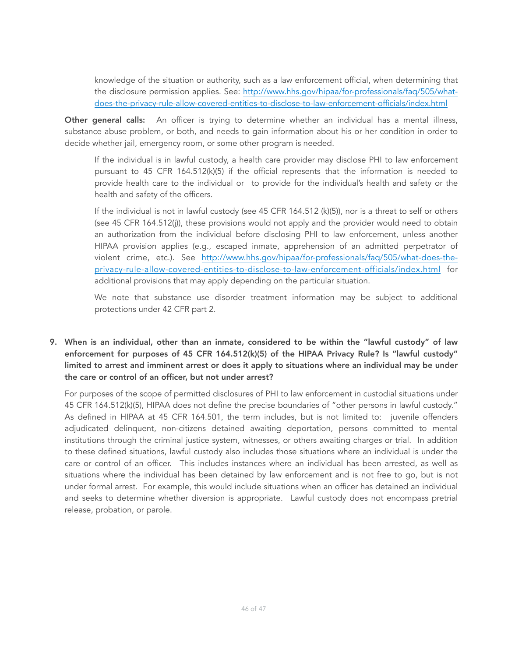knowledge of the situation or authority, such as a law enforcement official, when determining that [the disclosure permission applies. See: http://www.hhs.gov/hipaa/for-professionals/faq/505/what](http://www.hhs.gov/hipaa/for-professionals/faq/505/what-does-the-privacy-rule-allow-covered-entities-to-disclose-to-law-enforcement-officials/index.html)[does-the-privacy-rule-allow-covered-entities-to-disclose-to-law-enforcement-officials/index.html](http://www.hhs.gov/hipaa/for-professionals/faq/505/what-does-the-privacy-rule-allow-covered-entities-to-disclose-to-law-enforcement-officials/index.html)

Other general calls: An officer is trying to determine whether an individual has a mental illness, substance abuse problem, or both, and needs to gain information about his or her condition in order to decide whether jail, emergency room, or some other program is needed.

If the individual is in lawful custody, a health care provider may disclose PHI to law enforcement pursuant to 45 CFR 164.512(k)(5) if the official represents that the information is needed to provide health care to the individual or to provide for the individual's health and safety or the health and safety of the officers.

If the individual is not in lawful custody (see 45 CFR 164.512 (k)(5)), nor is a threat to self or others (see 45 CFR 164.512(j)), these provisions would not apply and the provider would need to obtain an authorization from the individual before disclosing PHI to law enforcement, unless another HIPAA provision applies (e.g., escaped inmate, apprehension of an admitted perpetrator of [violent crime, etc.\). See http://www.hhs.gov/hipaa/for-professionals/faq/505/what-does-the](http://www.hhs.gov/hipaa/for-professionals/faq/505/what-does-the-privacy-rule-allow-covered-entities-to-disclose-to-law-enforcement-officials/index.html)[privacy-rule-allow-covered-entities-to-disclose-to-law-enforcement-officials/index.html](http://www.hhs.gov/hipaa/for-professionals/faq/505/what-does-the-privacy-rule-allow-covered-entities-to-disclose-to-law-enforcement-officials/index.html) for additional provisions that may apply depending on the particular situation.

We note that substance use disorder treatment information may be subject to additional protections under 42 CFR part 2.

# 9. When is an individual, other than an inmate, considered to be within the "lawful custody" of law enforcement for purposes of 45 CFR 164.512(k)(5) of the HIPAA Privacy Rule? Is "lawful custody" limited to arrest and imminent arrest or does it apply to situations where an individual may be under the care or control of an officer, but not under arrest?

For purposes of the scope of permitted disclosures of PHI to law enforcement in custodial situations under 45 CFR 164.512(k)(5), HIPAA does not define the precise boundaries of "other persons in lawful custody." As defined in HIPAA at 45 CFR 164.501, the term includes, but is not limited to: juvenile offenders adjudicated delinquent, non-citizens detained awaiting deportation, persons committed to mental institutions through the criminal justice system, witnesses, or others awaiting charges or trial. In addition to these defined situations, lawful custody also includes those situations where an individual is under the care or control of an officer. This includes instances where an individual has been arrested, as well as situations where the individual has been detained by law enforcement and is not free to go, but is not under formal arrest. For example, this would include situations when an officer has detained an individual and seeks to determine whether diversion is appropriate. Lawful custody does not encompass pretrial release, probation, or parole.